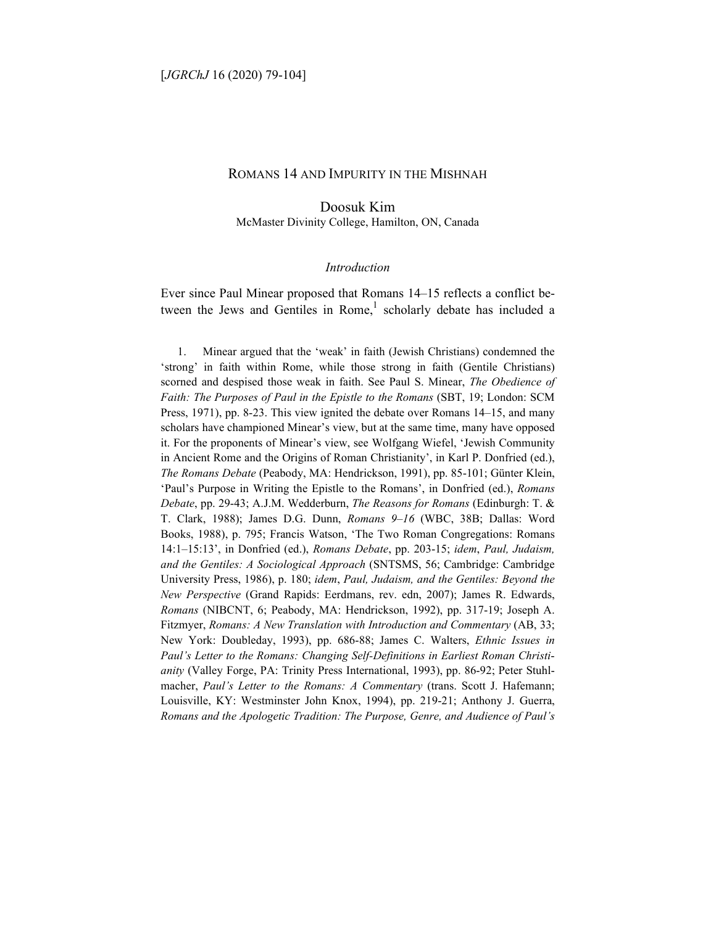# ROMANS 14 AND IMPURITY IN THE MISHNAH

Doosuk Kim McMaster Divinity College, Hamilton, ON, Canada

#### *Introduction*

Ever since Paul Minear proposed that Romans 14–15 reflects a conflict between the Jews and Gentiles in Rome,<sup>1</sup> scholarly debate has included a

1. Minear argued that the 'weak' in faith (Jewish Christians) condemned the 'strong' in faith within Rome, while those strong in faith (Gentile Christians) scorned and despised those weak in faith. See Paul S. Minear, *The Obedience of Faith: The Purposes of Paul in the Epistle to the Romans* (SBT, 19; London: SCM Press, 1971), pp. 8-23. This view ignited the debate over Romans 14–15, and many scholars have championed Minear's view, but at the same time, many have opposed it. For the proponents of Minear's view, see Wolfgang Wiefel, 'Jewish Community in Ancient Rome and the Origins of Roman Christianity', in Karl P. Donfried (ed.), *The Romans Debate* (Peabody, MA: Hendrickson, 1991), pp. 85-101; Günter Klein, 'Paul's Purpose in Writing the Epistle to the Romans', in Donfried (ed.), *Romans Debate*, pp. 29-43; A.J.M. Wedderburn, *The Reasons for Romans* (Edinburgh: T. & T. Clark, 1988); James D.G. Dunn, *Romans 9–16* (WBC, 38B; Dallas: Word Books, 1988), p. 795; Francis Watson, 'The Two Roman Congregations: Romans 14:1–15:13', in Donfried (ed.), *Romans Debate*, pp. 203-15; *idem*, *Paul, Judaism, and the Gentiles: A Sociological Approach* (SNTSMS, 56; Cambridge: Cambridge University Press, 1986), p. 180; *idem*, *Paul, Judaism, and the Gentiles: Beyond the New Perspective* (Grand Rapids: Eerdmans, rev. edn, 2007); James R. Edwards, *Romans* (NIBCNT, 6; Peabody, MA: Hendrickson, 1992), pp. 317-19; Joseph A. Fitzmyer, *Romans: A New Translation with Introduction and Commentary* (AB, 33; New York: Doubleday, 1993), pp. 686-88; James C. Walters, *Ethnic Issues in Paul's Letter to the Romans: Changing Self-Definitions in Earliest Roman Christianity* (Valley Forge, PA: Trinity Press International, 1993), pp. 86-92; Peter Stuhlmacher, *Paul's Letter to the Romans: A Commentary* (trans. Scott J. Hafemann; Louisville, KY: Westminster John Knox, 1994), pp. 219-21; Anthony J. Guerra, *Romans and the Apologetic Tradition: The Purpose, Genre, and Audience of Paul's*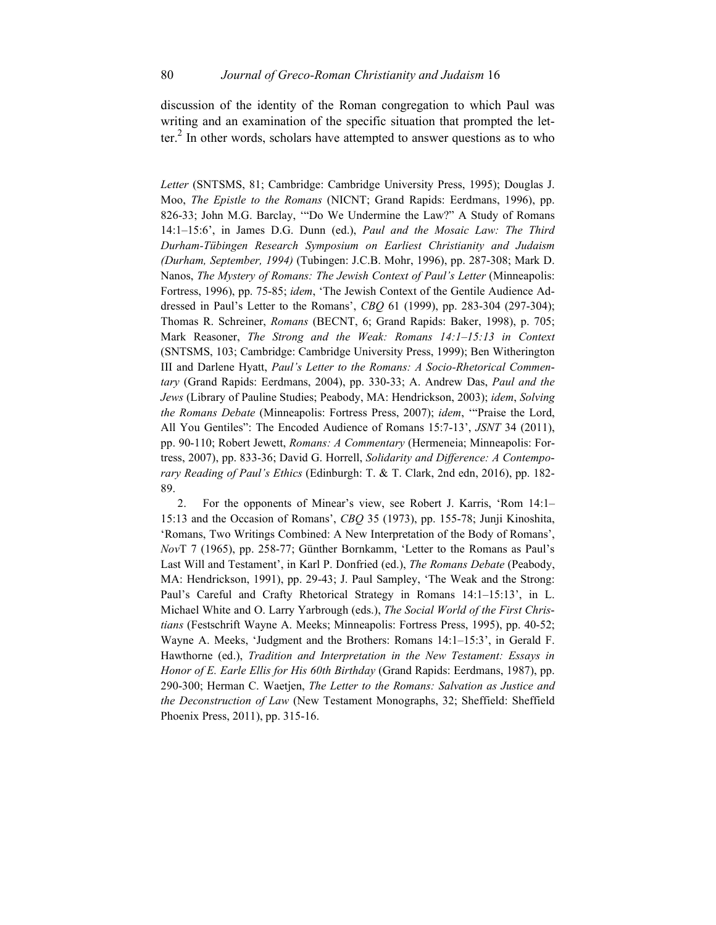discussion of the identity of the Roman congregation to which Paul was writing and an examination of the specific situation that prompted the letter.<sup>2</sup> In other words, scholars have attempted to answer questions as to who

*Letter* (SNTSMS, 81; Cambridge: Cambridge University Press, 1995); Douglas J. Moo, *The Epistle to the Romans* (NICNT; Grand Rapids: Eerdmans, 1996), pp. 826-33; John M.G. Barclay, '"Do We Undermine the Law?" A Study of Romans 14:1–15:6', in James D.G. Dunn (ed.), *Paul and the Mosaic Law: The Third Durham-Tübingen Research Symposium on Earliest Christianity and Judaism (Durham, September, 1994)* (Tubingen: J.C.B. Mohr, 1996), pp. 287-308; Mark D. Nanos, *The Mystery of Romans: The Jewish Context of Paul's Letter* (Minneapolis: Fortress, 1996), pp. 75-85; *idem*, 'The Jewish Context of the Gentile Audience Addressed in Paul's Letter to the Romans', *CBQ* 61 (1999), pp. 283-304 (297-304); Thomas R. Schreiner, *Romans* (BECNT, 6; Grand Rapids: Baker, 1998), p. 705; Mark Reasoner, *The Strong and the Weak: Romans 14:1–15:13 in Context* (SNTSMS, 103; Cambridge: Cambridge University Press, 1999); Ben Witherington III and Darlene Hyatt, *Paul's Letter to the Romans: A Socio-Rhetorical Commentary* (Grand Rapids: Eerdmans, 2004), pp. 330-33; A. Andrew Das, *Paul and the Jews* (Library of Pauline Studies; Peabody, MA: Hendrickson, 2003); *idem*, *Solving the Romans Debate* (Minneapolis: Fortress Press, 2007); *idem*, '"Praise the Lord, All You Gentiles": The Encoded Audience of Romans 15:7-13', *JSNT* 34 (2011), pp. 90-110; Robert Jewett, *Romans: A Commentary* (Hermeneia; Minneapolis: Fortress, 2007), pp. 833-36; David G. Horrell, *Solidarity and Difference: A Contemporary Reading of Paul's Ethics* (Edinburgh: T. & T. Clark, 2nd edn, 2016), pp. 182- 89.

2. For the opponents of Minear's view, see Robert J. Karris, 'Rom 14:1– 15:13 and the Occasion of Romans', *CBQ* 35 (1973), pp. 155-78; Junji Kinoshita, 'Romans, Two Writings Combined: A New Interpretation of the Body of Romans', *Nov*T 7 (1965), pp. 258-77; Günther Bornkamm, 'Letter to the Romans as Paul's Last Will and Testament', in Karl P. Donfried (ed.), *The Romans Debate* (Peabody, MA: Hendrickson, 1991), pp. 29-43; J. Paul Sampley, 'The Weak and the Strong: Paul's Careful and Crafty Rhetorical Strategy in Romans 14:1–15:13', in L. Michael White and O. Larry Yarbrough (eds.), *The Social World of the First Christians* (Festschrift Wayne A. Meeks; Minneapolis: Fortress Press, 1995), pp. 40-52; Wayne A. Meeks, 'Judgment and the Brothers: Romans 14:1–15:3', in Gerald F. Hawthorne (ed.), *Tradition and Interpretation in the New Testament: Essays in Honor of E. Earle Ellis for His 60th Birthday* (Grand Rapids: Eerdmans, 1987), pp. 290-300; Herman C. Waetjen, *The Letter to the Romans: Salvation as Justice and the Deconstruction of Law* (New Testament Monographs, 32; Sheffield: Sheffield Phoenix Press, 2011), pp. 315-16.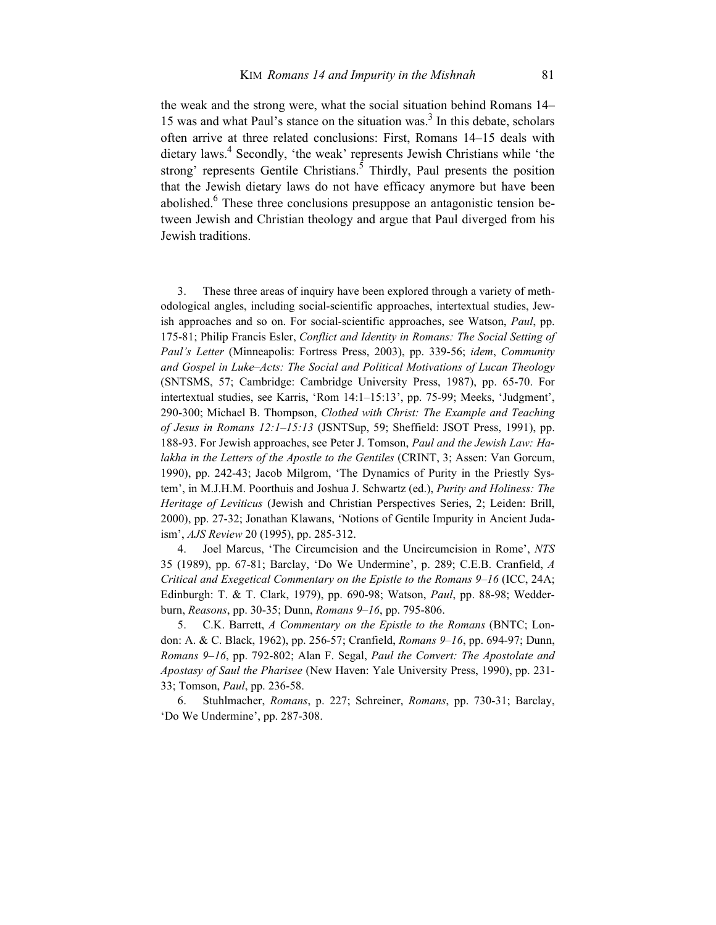the weak and the strong were, what the social situation behind Romans 14– 15 was and what Paul's stance on the situation was.<sup>3</sup> In this debate, scholars often arrive at three related conclusions: First, Romans 14–15 deals with dietary laws.<sup>4</sup> Secondly, 'the weak' represents Jewish Christians while 'the strong' represents Gentile Christians.<sup>5</sup> Thirdly, Paul presents the position that the Jewish dietary laws do not have efficacy anymore but have been abolished.<sup>6</sup> These three conclusions presuppose an antagonistic tension between Jewish and Christian theology and argue that Paul diverged from his Jewish traditions.

3. These three areas of inquiry have been explored through a variety of methodological angles, including social-scientific approaches, intertextual studies, Jewish approaches and so on. For social-scientific approaches, see Watson, *Paul*, pp. 175-81; Philip Francis Esler, *Conflict and Identity in Romans: The Social Setting of Paul's Letter* (Minneapolis: Fortress Press, 2003), pp. 339-56; *idem*, *Community and Gospel in Luke–Acts: The Social and Political Motivations of Lucan Theology* (SNTSMS, 57; Cambridge: Cambridge University Press, 1987), pp. 65-70. For intertextual studies, see Karris, 'Rom 14:1–15:13', pp. 75-99; Meeks, 'Judgment', 290-300; Michael B. Thompson, *Clothed with Christ: The Example and Teaching of Jesus in Romans 12:1–15:13* (JSNTSup, 59; Sheffield: JSOT Press, 1991), pp. 188-93. For Jewish approaches, see Peter J. Tomson, *Paul and the Jewish Law: Halakha in the Letters of the Apostle to the Gentiles* (CRINT, 3; Assen: Van Gorcum, 1990), pp. 242-43; Jacob Milgrom, 'The Dynamics of Purity in the Priestly System', in M.J.H.M. Poorthuis and Joshua J. Schwartz (ed.), *Purity and Holiness: The Heritage of Leviticus* (Jewish and Christian Perspectives Series, 2; Leiden: Brill, 2000), pp. 27-32; Jonathan Klawans, 'Notions of Gentile Impurity in Ancient Judaism', *AJS Review* 20 (1995), pp. 285-312.

4. Joel Marcus, 'The Circumcision and the Uncircumcision in Rome', *NTS* 35 (1989), pp. 67-81; Barclay, 'Do We Undermine', p. 289; C.E.B. Cranfield, *A Critical and Exegetical Commentary on the Epistle to the Romans 9–16* (ICC, 24A; Edinburgh: T. & T. Clark, 1979), pp. 690-98; Watson, *Paul*, pp. 88-98; Wedderburn, *Reasons*, pp. 30-35; Dunn, *Romans 9–16*, pp. 795-806.

5. C.K. Barrett, *A Commentary on the Epistle to the Romans* (BNTC; London: A. & C. Black, 1962), pp. 256-57; Cranfield, *Romans 9–16*, pp. 694-97; Dunn, *Romans 9–16*, pp. 792-802; Alan F. Segal, *Paul the Convert: The Apostolate and Apostasy of Saul the Pharisee* (New Haven: Yale University Press, 1990), pp. 231- 33; Tomson, *Paul*, pp. 236-58.

6. Stuhlmacher, *Romans*, p. 227; Schreiner, *Romans*, pp. 730-31; Barclay, 'Do We Undermine', pp. 287-308.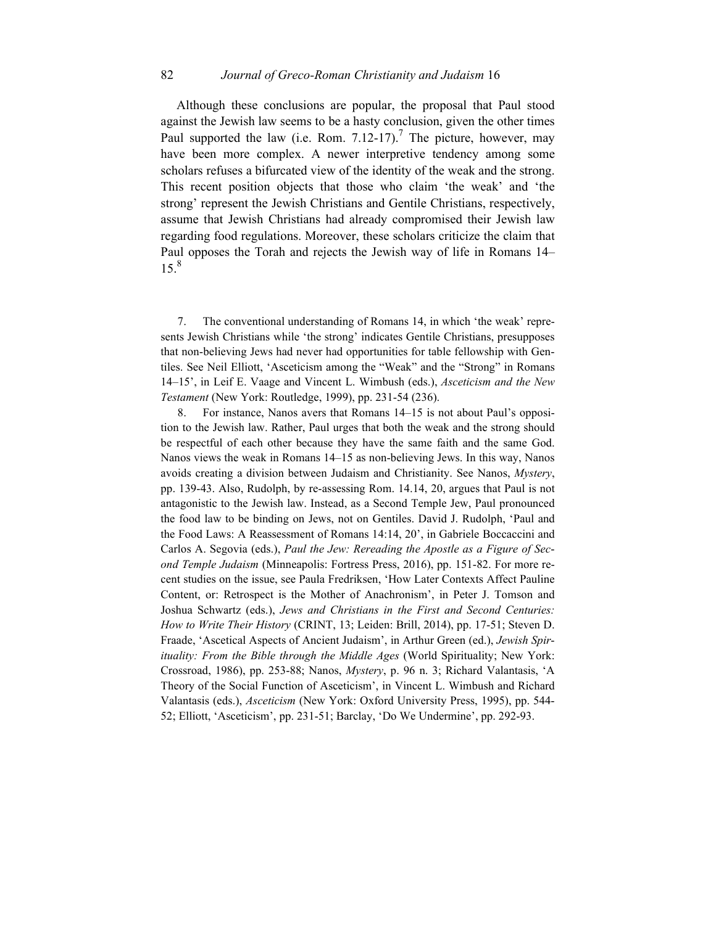### 82 *Journal of Greco-Roman Christianity and Judaism* 16

Although these conclusions are popular, the proposal that Paul stood against the Jewish law seems to be a hasty conclusion, given the other times Paul supported the law (i.e. Rom. 7.12-17).<sup>7</sup> The picture, however, may have been more complex. A newer interpretive tendency among some scholars refuses a bifurcated view of the identity of the weak and the strong. This recent position objects that those who claim 'the weak' and 'the strong' represent the Jewish Christians and Gentile Christians, respectively, assume that Jewish Christians had already compromised their Jewish law regarding food regulations. Moreover, these scholars criticize the claim that Paul opposes the Torah and rejects the Jewish way of life in Romans 14–  $15.<sup>8</sup>$ 

7. The conventional understanding of Romans 14, in which 'the weak' represents Jewish Christians while 'the strong' indicates Gentile Christians, presupposes that non-believing Jews had never had opportunities for table fellowship with Gentiles. See Neil Elliott, 'Asceticism among the "Weak" and the "Strong" in Romans 14–15', in Leif E. Vaage and Vincent L. Wimbush (eds.), *Asceticism and the New Testament* (New York: Routledge, 1999), pp. 231-54 (236).

8. For instance, Nanos avers that Romans 14–15 is not about Paul's opposition to the Jewish law. Rather, Paul urges that both the weak and the strong should be respectful of each other because they have the same faith and the same God. Nanos views the weak in Romans 14–15 as non-believing Jews. In this way, Nanos avoids creating a division between Judaism and Christianity. See Nanos, *Mystery*, pp. 139-43. Also, Rudolph, by re-assessing Rom. 14.14, 20, argues that Paul is not antagonistic to the Jewish law. Instead, as a Second Temple Jew, Paul pronounced the food law to be binding on Jews, not on Gentiles. David J. Rudolph, 'Paul and the Food Laws: A Reassessment of Romans 14:14, 20', in Gabriele Boccaccini and Carlos A. Segovia (eds.), *Paul the Jew: Rereading the Apostle as a Figure of Second Temple Judaism* (Minneapolis: Fortress Press, 2016), pp. 151-82. For more recent studies on the issue, see Paula Fredriksen, 'How Later Contexts Affect Pauline Content, or: Retrospect is the Mother of Anachronism', in Peter J. Tomson and Joshua Schwartz (eds.), *Jews and Christians in the First and Second Centuries: How to Write Their History* (CRINT, 13; Leiden: Brill, 2014), pp. 17-51; Steven D. Fraade, 'Ascetical Aspects of Ancient Judaism', in Arthur Green (ed.), *Jewish Spirituality: From the Bible through the Middle Ages* (World Spirituality; New York: Crossroad, 1986), pp. 253-88; Nanos, *Mystery*, p. 96 n. 3; Richard Valantasis, 'A Theory of the Social Function of Asceticism', in Vincent L. Wimbush and Richard Valantasis (eds.), *Asceticism* (New York: Oxford University Press, 1995), pp. 544- 52; Elliott, 'Asceticism', pp. 231-51; Barclay, 'Do We Undermine', pp. 292-93.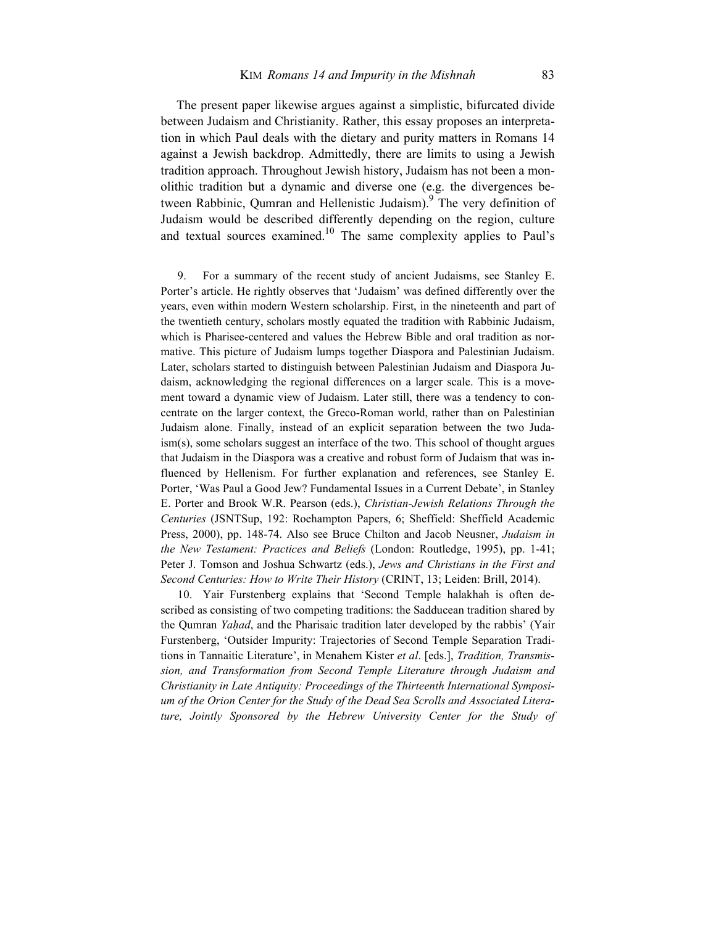The present paper likewise argues against a simplistic, bifurcated divide between Judaism and Christianity. Rather, this essay proposes an interpretation in which Paul deals with the dietary and purity matters in Romans 14 against a Jewish backdrop. Admittedly, there are limits to using a Jewish tradition approach. Throughout Jewish history, Judaism has not been a monolithic tradition but a dynamic and diverse one (e.g. the divergences between Rabbinic, Qumran and Hellenistic Judaism). The very definition of Judaism would be described differently depending on the region, culture and textual sources examined.10 The same complexity applies to Paul's

9. For a summary of the recent study of ancient Judaisms, see Stanley E. Porter's article. He rightly observes that 'Judaism' was defined differently over the years, even within modern Western scholarship. First, in the nineteenth and part of the twentieth century, scholars mostly equated the tradition with Rabbinic Judaism, which is Pharisee-centered and values the Hebrew Bible and oral tradition as normative. This picture of Judaism lumps together Diaspora and Palestinian Judaism. Later, scholars started to distinguish between Palestinian Judaism and Diaspora Judaism, acknowledging the regional differences on a larger scale. This is a movement toward a dynamic view of Judaism. Later still, there was a tendency to concentrate on the larger context, the Greco-Roman world, rather than on Palestinian Judaism alone. Finally, instead of an explicit separation between the two Judaism(s), some scholars suggest an interface of the two. This school of thought argues that Judaism in the Diaspora was a creative and robust form of Judaism that was influenced by Hellenism. For further explanation and references, see Stanley E. Porter, 'Was Paul a Good Jew? Fundamental Issues in a Current Debate', in Stanley E. Porter and Brook W.R. Pearson (eds.), *Christian-Jewish Relations Through the Centuries* (JSNTSup, 192: Roehampton Papers, 6; Sheffield: Sheffield Academic Press, 2000), pp. 148-74. Also see Bruce Chilton and Jacob Neusner, *Judaism in the New Testament: Practices and Beliefs* (London: Routledge, 1995), pp. 1-41; Peter J. Tomson and Joshua Schwartz (eds.), *Jews and Christians in the First and Second Centuries: How to Write Their History* (CRINT, 13; Leiden: Brill, 2014).

10. Yair Furstenberg explains that 'Second Temple halakhah is often described as consisting of two competing traditions: the Sadducean tradition shared by the Qumran *Yaḥad*, and the Pharisaic tradition later developed by the rabbis' (Yair Furstenberg, 'Outsider Impurity: Trajectories of Second Temple Separation Traditions in Tannaitic Literature', in Menahem Kister *et al*. [eds.], *Tradition, Transmission, and Transformation from Second Temple Literature through Judaism and Christianity in Late Antiquity: Proceedings of the Thirteenth International Symposium of the Orion Center for the Study of the Dead Sea Scrolls and Associated Literature, Jointly Sponsored by the Hebrew University Center for the Study of*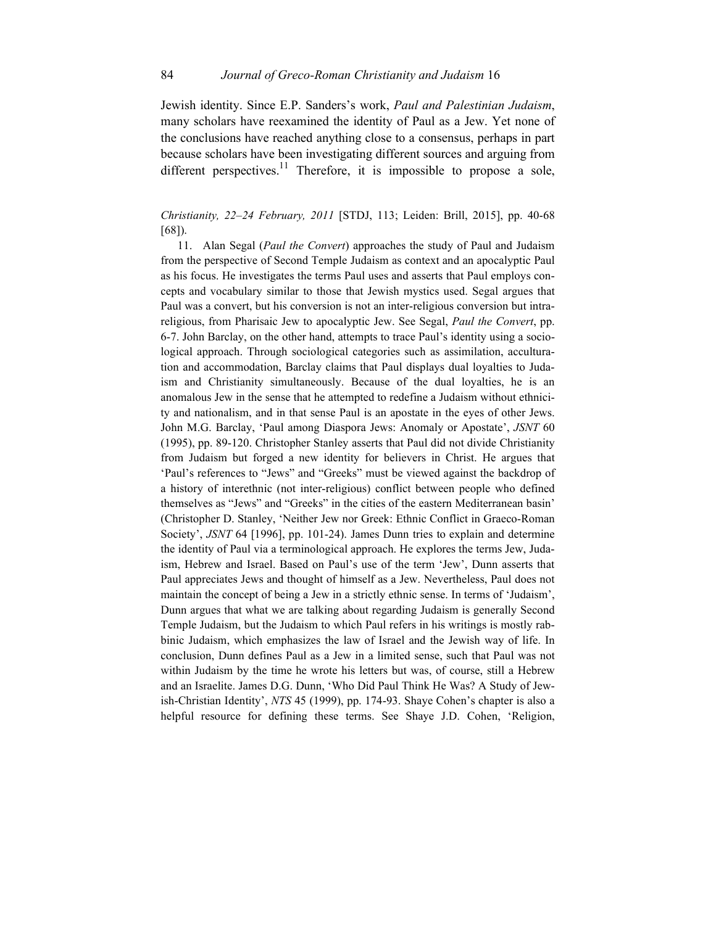Jewish identity. Since E.P. Sanders's work, *Paul and Palestinian Judaism*, many scholars have reexamined the identity of Paul as a Jew. Yet none of the conclusions have reached anything close to a consensus, perhaps in part because scholars have been investigating different sources and arguing from different perspectives.<sup>11</sup> Therefore, it is impossible to propose a sole,

## *Christianity, 22–24 February, 2011* [STDJ, 113; Leiden: Brill, 2015], pp. 40-68 [68]).

11. Alan Segal (*Paul the Convert*) approaches the study of Paul and Judaism from the perspective of Second Temple Judaism as context and an apocalyptic Paul as his focus. He investigates the terms Paul uses and asserts that Paul employs concepts and vocabulary similar to those that Jewish mystics used. Segal argues that Paul was a convert, but his conversion is not an inter-religious conversion but intrareligious, from Pharisaic Jew to apocalyptic Jew. See Segal, *Paul the Convert*, pp. 6-7. John Barclay, on the other hand, attempts to trace Paul's identity using a sociological approach. Through sociological categories such as assimilation, acculturation and accommodation, Barclay claims that Paul displays dual loyalties to Judaism and Christianity simultaneously. Because of the dual loyalties, he is an anomalous Jew in the sense that he attempted to redefine a Judaism without ethnicity and nationalism, and in that sense Paul is an apostate in the eyes of other Jews. John M.G. Barclay, 'Paul among Diaspora Jews: Anomaly or Apostate', *JSNT* 60 (1995), pp. 89-120. Christopher Stanley asserts that Paul did not divide Christianity from Judaism but forged a new identity for believers in Christ. He argues that 'Paul's references to "Jews" and "Greeks" must be viewed against the backdrop of a history of interethnic (not inter-religious) conflict between people who defined themselves as "Jews" and "Greeks" in the cities of the eastern Mediterranean basin' (Christopher D. Stanley, 'Neither Jew nor Greek: Ethnic Conflict in Graeco-Roman Society', *JSNT* 64 [1996], pp. 101-24). James Dunn tries to explain and determine the identity of Paul via a terminological approach. He explores the terms Jew, Judaism, Hebrew and Israel. Based on Paul's use of the term 'Jew', Dunn asserts that Paul appreciates Jews and thought of himself as a Jew. Nevertheless, Paul does not maintain the concept of being a Jew in a strictly ethnic sense. In terms of 'Judaism', Dunn argues that what we are talking about regarding Judaism is generally Second Temple Judaism, but the Judaism to which Paul refers in his writings is mostly rabbinic Judaism, which emphasizes the law of Israel and the Jewish way of life. In conclusion, Dunn defines Paul as a Jew in a limited sense, such that Paul was not within Judaism by the time he wrote his letters but was, of course, still a Hebrew and an Israelite. James D.G. Dunn, 'Who Did Paul Think He Was? A Study of Jewish-Christian Identity', *NTS* 45 (1999), pp. 174-93. Shaye Cohen's chapter is also a helpful resource for defining these terms. See Shaye J.D. Cohen, 'Religion,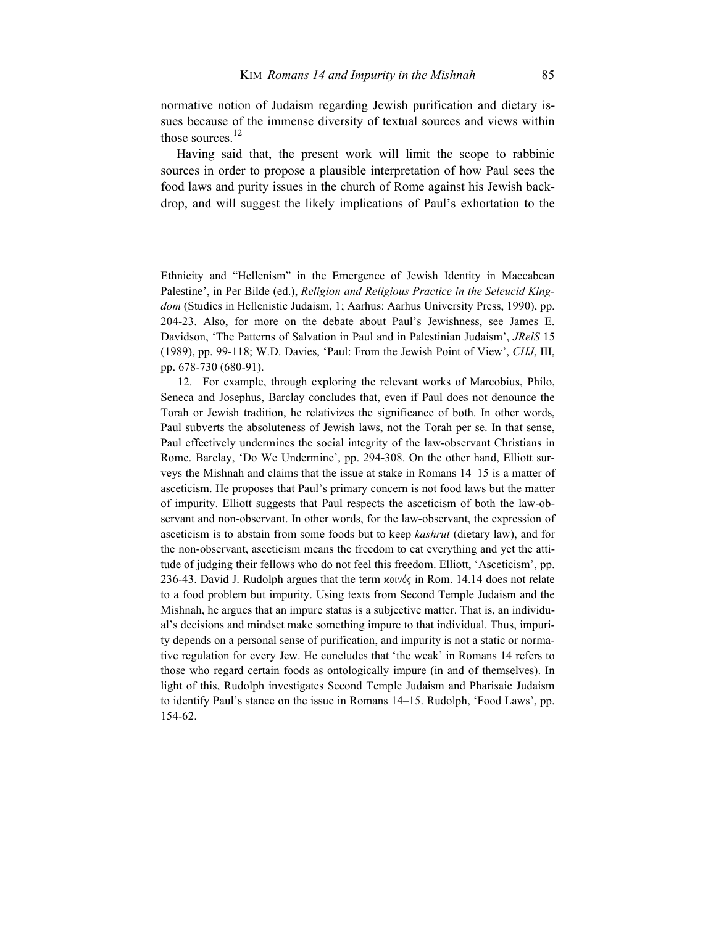normative notion of Judaism regarding Jewish purification and dietary issues because of the immense diversity of textual sources and views within those sources. $^{12}$ 

Having said that, the present work will limit the scope to rabbinic sources in order to propose a plausible interpretation of how Paul sees the food laws and purity issues in the church of Rome against his Jewish backdrop, and will suggest the likely implications of Paul's exhortation to the

Ethnicity and "Hellenism" in the Emergence of Jewish Identity in Maccabean Palestine', in Per Bilde (ed.), *Religion and Religious Practice in the Seleucid Kingdom* (Studies in Hellenistic Judaism, 1; Aarhus: Aarhus University Press, 1990), pp. 204-23. Also, for more on the debate about Paul's Jewishness, see James E. Davidson, 'The Patterns of Salvation in Paul and in Palestinian Judaism', *JRelS* 15 (1989), pp. 99-118; W.D. Davies, 'Paul: From the Jewish Point of View', *CHJ*, III, pp. 678-730 (680-91).

12. For example, through exploring the relevant works of Marcobius, Philo, Seneca and Josephus, Barclay concludes that, even if Paul does not denounce the Torah or Jewish tradition, he relativizes the significance of both. In other words, Paul subverts the absoluteness of Jewish laws, not the Torah per se. In that sense, Paul effectively undermines the social integrity of the law-observant Christians in Rome. Barclay, 'Do We Undermine', pp. 294-308. On the other hand, Elliott surveys the Mishnah and claims that the issue at stake in Romans 14–15 is a matter of asceticism. He proposes that Paul's primary concern is not food laws but the matter of impurity. Elliott suggests that Paul respects the asceticism of both the law-observant and non-observant. In other words, for the law-observant, the expression of asceticism is to abstain from some foods but to keep *kashrut* (dietary law), and for the non-observant, asceticism means the freedom to eat everything and yet the attitude of judging their fellows who do not feel this freedom. Elliott, 'Asceticism', pp. 236-43. David J. Rudolph argues that the term κοινός in Rom. 14.14 does not relate to a food problem but impurity. Using texts from Second Temple Judaism and the Mishnah, he argues that an impure status is a subjective matter. That is, an individual's decisions and mindset make something impure to that individual. Thus, impurity depends on a personal sense of purification, and impurity is not a static or normative regulation for every Jew. He concludes that 'the weak' in Romans 14 refers to those who regard certain foods as ontologically impure (in and of themselves). In light of this, Rudolph investigates Second Temple Judaism and Pharisaic Judaism to identify Paul's stance on the issue in Romans 14–15. Rudolph, 'Food Laws', pp. 154-62.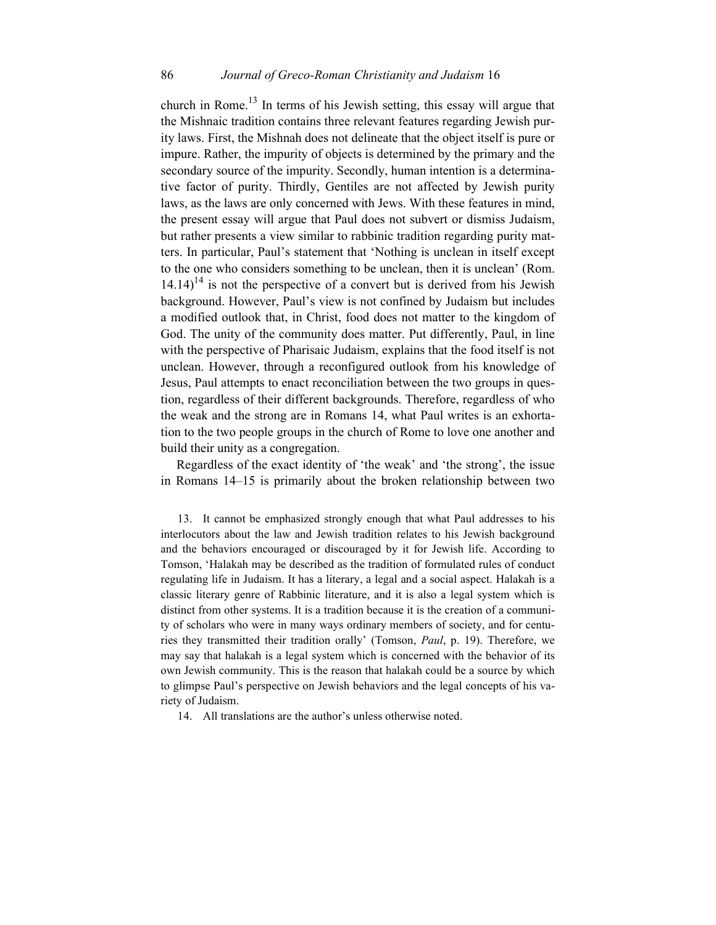### 86 *Journal of Greco-Roman Christianity and Judaism* 16

church in Rome.<sup>13</sup> In terms of his Jewish setting, this essay will argue that the Mishnaic tradition contains three relevant features regarding Jewish purity laws. First, the Mishnah does not delineate that the object itself is pure or impure. Rather, the impurity of objects is determined by the primary and the secondary source of the impurity. Secondly, human intention is a determinative factor of purity. Thirdly, Gentiles are not affected by Jewish purity laws, as the laws are only concerned with Jews. With these features in mind, the present essay will argue that Paul does not subvert or dismiss Judaism, but rather presents a view similar to rabbinic tradition regarding purity matters. In particular, Paul's statement that 'Nothing is unclean in itself except to the one who considers something to be unclean, then it is unclean' (Rom.  $14.14$ <sup>14</sup> is not the perspective of a convert but is derived from his Jewish background. However, Paul's view is not confined by Judaism but includes a modified outlook that, in Christ, food does not matter to the kingdom of God. The unity of the community does matter. Put differently, Paul, in line with the perspective of Pharisaic Judaism, explains that the food itself is not unclean. However, through a reconfigured outlook from his knowledge of Jesus, Paul attempts to enact reconciliation between the two groups in question, regardless of their different backgrounds. Therefore, regardless of who the weak and the strong are in Romans 14, what Paul writes is an exhortation to the two people groups in the church of Rome to love one another and build their unity as a congregation.

Regardless of the exact identity of 'the weak' and 'the strong', the issue in Romans 14–15 is primarily about the broken relationship between two

13. It cannot be emphasized strongly enough that what Paul addresses to his interlocutors about the law and Jewish tradition relates to his Jewish background and the behaviors encouraged or discouraged by it for Jewish life. According to Tomson, 'Halakah may be described as the tradition of formulated rules of conduct regulating life in Judaism. It has a literary, a legal and a social aspect. Halakah is a classic literary genre of Rabbinic literature, and it is also a legal system which is distinct from other systems. It is a tradition because it is the creation of a community of scholars who were in many ways ordinary members of society, and for centuries they transmitted their tradition orally' (Tomson, *Paul*, p. 19). Therefore, we may say that halakah is a legal system which is concerned with the behavior of its own Jewish community. This is the reason that halakah could be a source by which to glimpse Paul's perspective on Jewish behaviors and the legal concepts of his variety of Judaism.

14. All translations are the author's unless otherwise noted.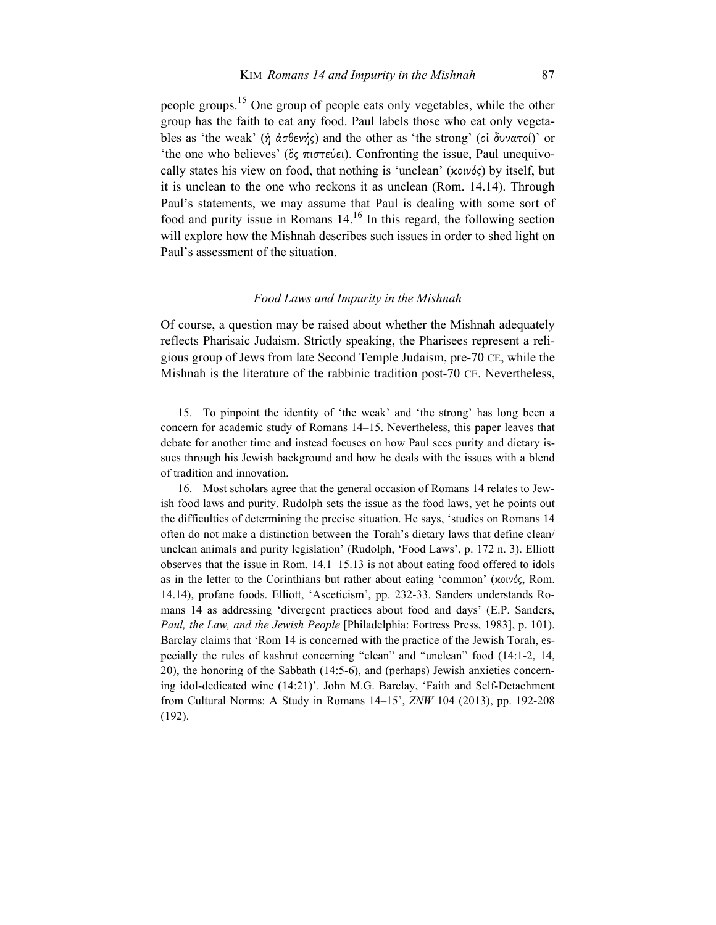people groups.<sup>15</sup> One group of people eats only vegetables, while the other group has the faith to eat any food. Paul labels those who eat only vegetables as 'the weak' (ἡ ἀσθενής) and the other as 'the strong' (οἱ δυνατοί)' or 'the one who believes' (ὃς πιστεύει). Confronting the issue, Paul unequivocally states his view on food, that nothing is 'unclean' (κοινός) by itself, but it is unclean to the one who reckons it as unclean (Rom. 14.14). Through Paul's statements, we may assume that Paul is dealing with some sort of food and purity issue in Romans  $14<sup>16</sup>$  In this regard, the following section will explore how the Mishnah describes such issues in order to shed light on Paul's assessment of the situation.

#### *Food Laws and Impurity in the Mishnah*

Of course, a question may be raised about whether the Mishnah adequately reflects Pharisaic Judaism. Strictly speaking, the Pharisees represent a religious group of Jews from late Second Temple Judaism, pre-70 CE, while the Mishnah is the literature of the rabbinic tradition post-70 CE. Nevertheless,

15. To pinpoint the identity of 'the weak' and 'the strong' has long been a concern for academic study of Romans 14–15. Nevertheless, this paper leaves that debate for another time and instead focuses on how Paul sees purity and dietary issues through his Jewish background and how he deals with the issues with a blend of tradition and innovation.

16. Most scholars agree that the general occasion of Romans 14 relates to Jewish food laws and purity. Rudolph sets the issue as the food laws, yet he points out the difficulties of determining the precise situation. He says, 'studies on Romans 14 often do not make a distinction between the Torah's dietary laws that define clean/ unclean animals and purity legislation' (Rudolph, 'Food Laws', p. 172 n. 3). Elliott observes that the issue in Rom. 14.1–15.13 is not about eating food offered to idols as in the letter to the Corinthians but rather about eating 'common' (κοινός, Rom. 14.14), profane foods. Elliott, 'Asceticism', pp. 232-33. Sanders understands Romans 14 as addressing 'divergent practices about food and days' (E.P. Sanders, *Paul, the Law, and the Jewish People* [Philadelphia: Fortress Press, 1983], p. 101). Barclay claims that 'Rom 14 is concerned with the practice of the Jewish Torah, especially the rules of kashrut concerning "clean" and "unclean" food (14:1-2, 14, 20), the honoring of the Sabbath (14:5-6), and (perhaps) Jewish anxieties concerning idol-dedicated wine (14:21)'. John M.G. Barclay, 'Faith and Self-Detachment from Cultural Norms: A Study in Romans 14–15', *ZNW* 104 (2013), pp. 192-208 (192).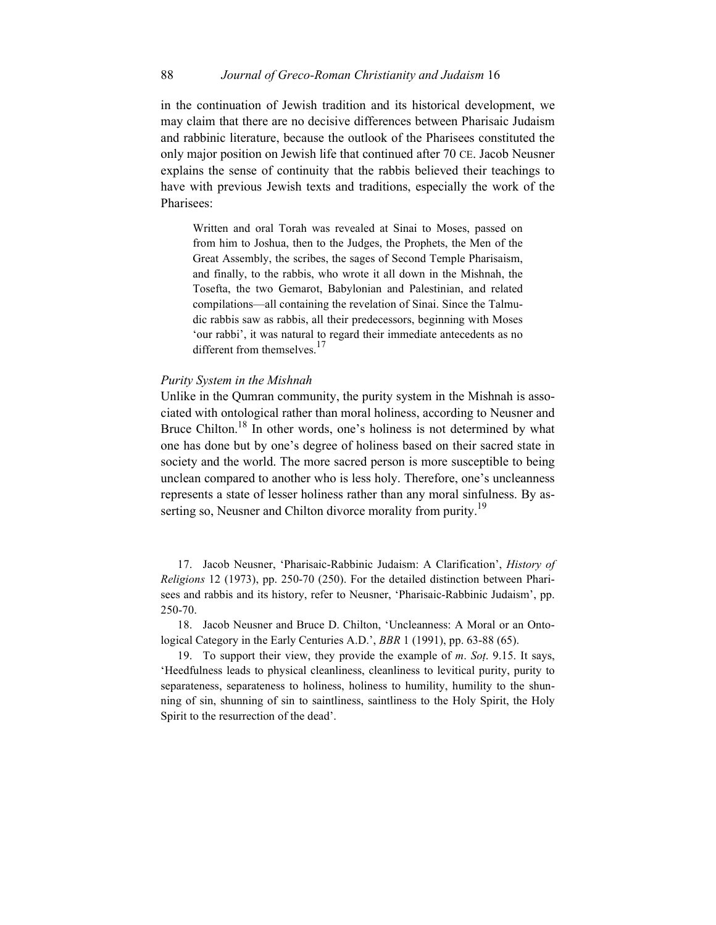## 88 *Journal of Greco-Roman Christianity and Judaism* 16

in the continuation of Jewish tradition and its historical development, we may claim that there are no decisive differences between Pharisaic Judaism and rabbinic literature, because the outlook of the Pharisees constituted the only major position on Jewish life that continued after 70 CE. Jacob Neusner explains the sense of continuity that the rabbis believed their teachings to have with previous Jewish texts and traditions, especially the work of the Pharisees:

Written and oral Torah was revealed at Sinai to Moses, passed on from him to Joshua, then to the Judges, the Prophets, the Men of the Great Assembly, the scribes, the sages of Second Temple Pharisaism, and finally, to the rabbis, who wrote it all down in the Mishnah, the Tosefta, the two Gemarot, Babylonian and Palestinian, and related compilations—all containing the revelation of Sinai. Since the Talmudic rabbis saw as rabbis, all their predecessors, beginning with Moses 'our rabbi', it was natural to regard their immediate antecedents as no different from themselves.<sup>17</sup>

### *Purity System in the Mishnah*

Unlike in the Qumran community, the purity system in the Mishnah is associated with ontological rather than moral holiness, according to Neusner and Bruce Chilton.<sup>18</sup> In other words, one's holiness is not determined by what one has done but by one's degree of holiness based on their sacred state in society and the world. The more sacred person is more susceptible to being unclean compared to another who is less holy. Therefore, one's uncleanness represents a state of lesser holiness rather than any moral sinfulness. By asserting so, Neusner and Chilton divorce morality from purity.<sup>19</sup>

17. Jacob Neusner, 'Pharisaic-Rabbinic Judaism: A Clarification', *History of Religions* 12 (1973), pp. 250-70 (250). For the detailed distinction between Pharisees and rabbis and its history, refer to Neusner, 'Pharisaic-Rabbinic Judaism', pp. 250-70.

18. Jacob Neusner and Bruce D. Chilton, 'Uncleanness: A Moral or an Ontological Category in the Early Centuries A.D.', *BBR* 1 (1991), pp. 63-88 (65).

19. To support their view, they provide the example of *m*. *Soṭ*. 9.15. It says, 'Heedfulness leads to physical cleanliness, cleanliness to levitical purity, purity to separateness, separateness to holiness, holiness to humility, humility to the shunning of sin, shunning of sin to saintliness, saintliness to the Holy Spirit, the Holy Spirit to the resurrection of the dead'.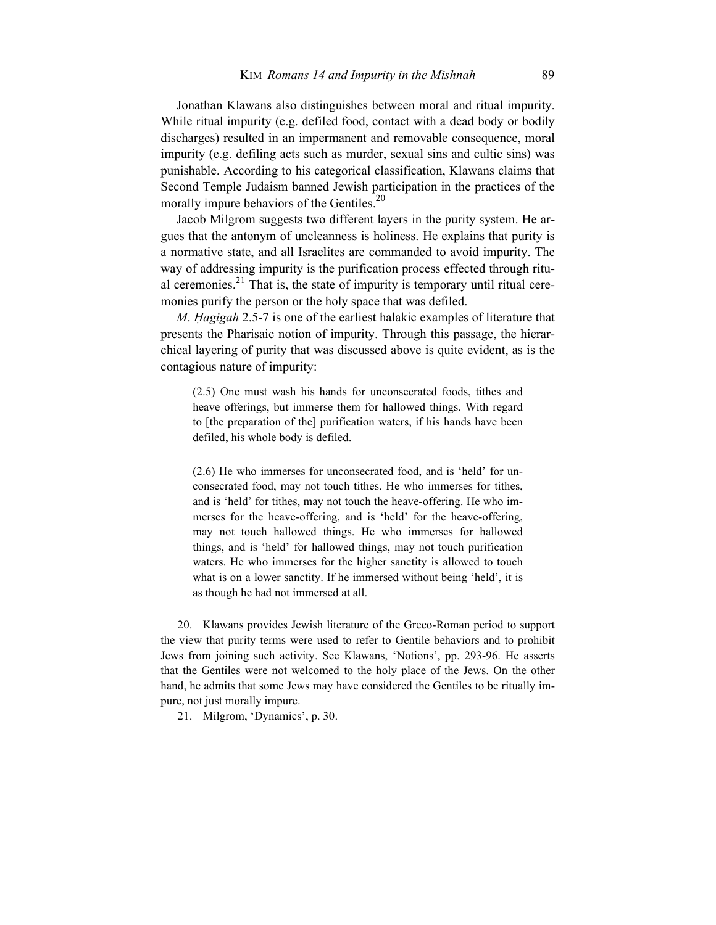Jonathan Klawans also distinguishes between moral and ritual impurity. While ritual impurity (e.g. defiled food, contact with a dead body or bodily discharges) resulted in an impermanent and removable consequence, moral impurity (e.g. defiling acts such as murder, sexual sins and cultic sins) was punishable. According to his categorical classification, Klawans claims that Second Temple Judaism banned Jewish participation in the practices of the morally impure behaviors of the Gentiles.<sup>20</sup>

Jacob Milgrom suggests two different layers in the purity system. He argues that the antonym of uncleanness is holiness. He explains that purity is a normative state, and all Israelites are commanded to avoid impurity. The way of addressing impurity is the purification process effected through ritual ceremonies. $^{21}$  That is, the state of impurity is temporary until ritual ceremonies purify the person or the holy space that was defiled.

*M*. *Ḥagigah* 2.5-7 is one of the earliest halakic examples of literature that presents the Pharisaic notion of impurity. Through this passage, the hierarchical layering of purity that was discussed above is quite evident, as is the contagious nature of impurity:

(2.5) One must wash his hands for unconsecrated foods, tithes and heave offerings, but immerse them for hallowed things. With regard to [the preparation of the] purification waters, if his hands have been defiled, his whole body is defiled.

(2.6) He who immerses for unconsecrated food, and is 'held' for unconsecrated food, may not touch tithes. He who immerses for tithes, and is 'held' for tithes, may not touch the heave-offering. He who immerses for the heave-offering, and is 'held' for the heave-offering, may not touch hallowed things. He who immerses for hallowed things, and is 'held' for hallowed things, may not touch purification waters. He who immerses for the higher sanctity is allowed to touch what is on a lower sanctity. If he immersed without being 'held', it is as though he had not immersed at all.

20. Klawans provides Jewish literature of the Greco-Roman period to support the view that purity terms were used to refer to Gentile behaviors and to prohibit Jews from joining such activity. See Klawans, 'Notions', pp. 293-96. He asserts that the Gentiles were not welcomed to the holy place of the Jews. On the other hand, he admits that some Jews may have considered the Gentiles to be ritually impure, not just morally impure.

21. Milgrom, 'Dynamics', p. 30.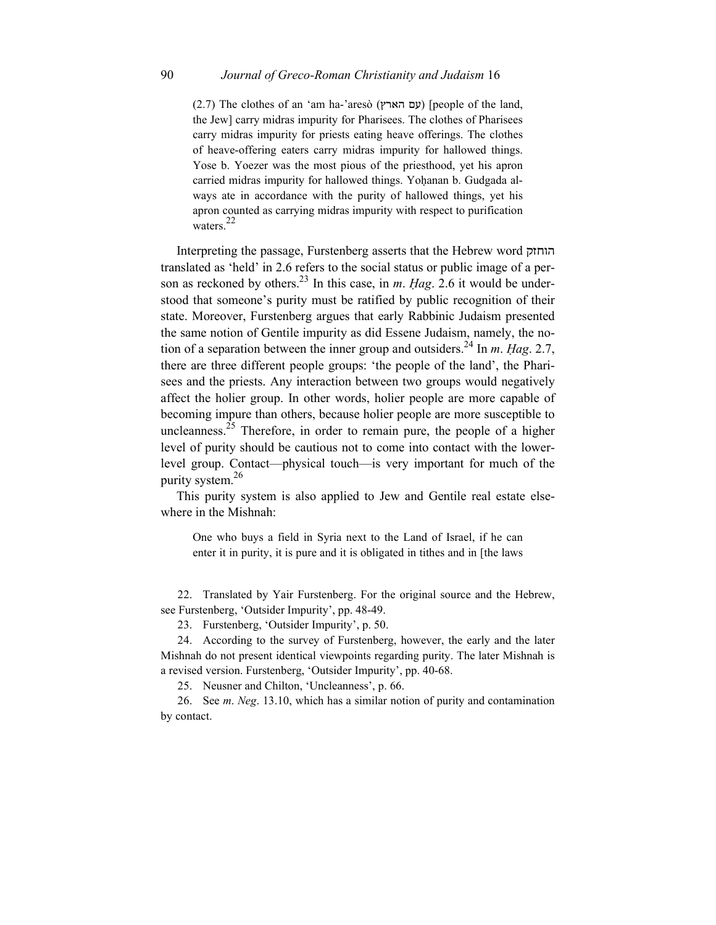$(2.7)$  The clothes of an 'am ha-'aresò (עם הארץ) [people of the land, the Jew] carry midras impurity for Pharisees. The clothes of Pharisees carry midras impurity for priests eating heave offerings. The clothes of heave-offering eaters carry midras impurity for hallowed things. Yose b. Yoezer was the most pious of the priesthood, yet his apron carried midras impurity for hallowed things. Yoḥanan b. Gudgada always ate in accordance with the purity of hallowed things, yet his apron counted as carrying midras impurity with respect to purification waters.<sup>22</sup>

Interpreting the passage, Furstenberg asserts that the Hebrew word הוחזק translated as 'held' in 2.6 refers to the social status or public image of a person as reckoned by others.<sup>23</sup> In this case, in *m. Hag.* 2.6 it would be understood that someone's purity must be ratified by public recognition of their state. Moreover, Furstenberg argues that early Rabbinic Judaism presented the same notion of Gentile impurity as did Essene Judaism, namely, the notion of a separation between the inner group and outsiders.24 In *m*. *Ḥag*. 2.7, there are three different people groups: 'the people of the land', the Pharisees and the priests. Any interaction between two groups would negatively affect the holier group. In other words, holier people are more capable of becoming impure than others, because holier people are more susceptible to uncleanness.<sup>25</sup> Therefore, in order to remain pure, the people of a higher level of purity should be cautious not to come into contact with the lowerlevel group. Contact—physical touch—is very important for much of the purity system.<sup>26</sup>

This purity system is also applied to Jew and Gentile real estate elsewhere in the Mishnah:

One who buys a field in Syria next to the Land of Israel, if he can enter it in purity, it is pure and it is obligated in tithes and in [the laws

22. Translated by Yair Furstenberg. For the original source and the Hebrew, see Furstenberg, 'Outsider Impurity', pp. 48-49.

23. Furstenberg, 'Outsider Impurity', p. 50.

24. According to the survey of Furstenberg, however, the early and the later Mishnah do not present identical viewpoints regarding purity. The later Mishnah is a revised version. Furstenberg, 'Outsider Impurity', pp. 40-68.

25. Neusner and Chilton, 'Uncleanness', p. 66.

26. See *m*. *Neg*. 13.10, which has a similar notion of purity and contamination by contact.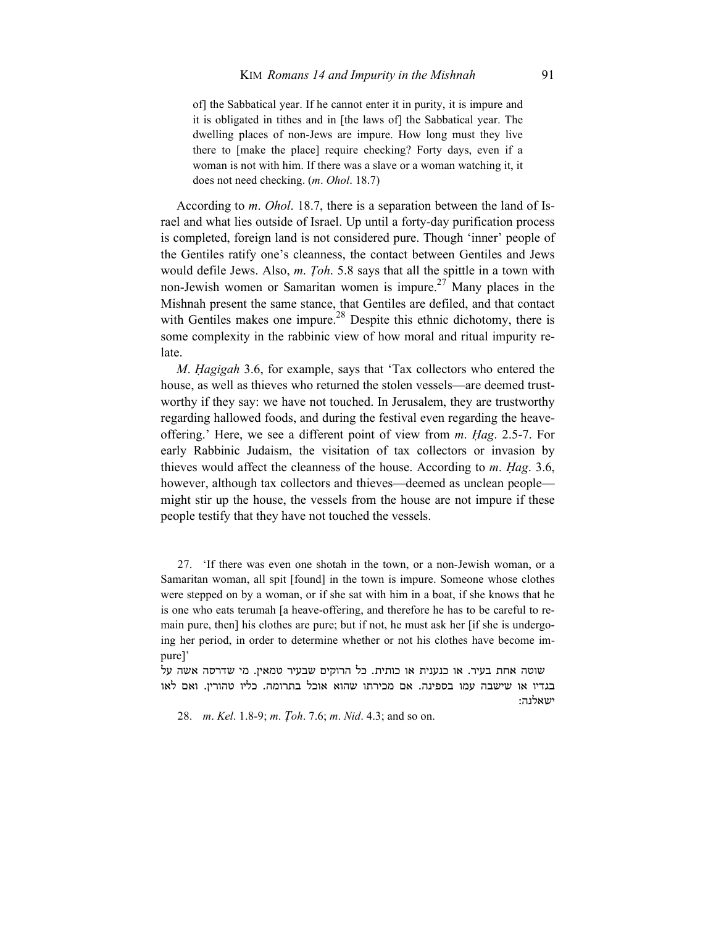of] the Sabbatical year. If he cannot enter it in purity, it is impure and it is obligated in tithes and in [the laws of] the Sabbatical year. The dwelling places of non-Jews are impure. How long must they live there to [make the place] require checking? Forty days, even if a woman is not with him. If there was a slave or a woman watching it, it does not need checking. (*m*. *Ohol*. 18.7)

According to *m*. *Ohol*. 18.7, there is a separation between the land of Israel and what lies outside of Israel. Up until a forty-day purification process is completed, foreign land is not considered pure. Though 'inner' people of the Gentiles ratify one's cleanness, the contact between Gentiles and Jews would defile Jews. Also, *m*. *Ṭoh*. 5.8 says that all the spittle in a town with non-Jewish women or Samaritan women is impure.<sup>27</sup> Many places in the Mishnah present the same stance, that Gentiles are defiled, and that contact with Gentiles makes one impure.<sup>28</sup> Despite this ethnic dichotomy, there is some complexity in the rabbinic view of how moral and ritual impurity relate.

*M*. *Ḥagigah* 3.6, for example, says that 'Tax collectors who entered the house, as well as thieves who returned the stolen vessels—are deemed trustworthy if they say: we have not touched. In Jerusalem, they are trustworthy regarding hallowed foods, and during the festival even regarding the heaveoffering.' Here, we see a different point of view from *m*. *Ḥag*. 2.5-7. For early Rabbinic Judaism, the visitation of tax collectors or invasion by thieves would affect the cleanness of the house. According to *m*. *Ḥag*. 3.6, however, although tax collectors and thieves—deemed as unclean people might stir up the house, the vessels from the house are not impure if these people testify that they have not touched the vessels.

27. 'If there was even one shotah in the town, or a non-Jewish woman, or a Samaritan woman, all spit [found] in the town is impure. Someone whose clothes were stepped on by a woman, or if she sat with him in a boat, if she knows that he is one who eats terumah [a heave-offering, and therefore he has to be careful to remain pure, then] his clothes are pure; but if not, he must ask her [if she is undergoing her period, in order to determine whether or not his clothes have become impure]'

שוטה אחת בעיר. או כנענית או כותית. כל הרוקים שבעיר טמאין. מי שדרסה אשה על בגדיו או שישבה עמו בספינה. אם מכירתו שהוא אוכל בתרומה. כליו טהורין. ואם לאו ישאלנה:

28. *m*. *Kel*. 1.8-9; *m*. *Ṭoh*. 7.6; *m*. *Nid*. 4.3; and so on.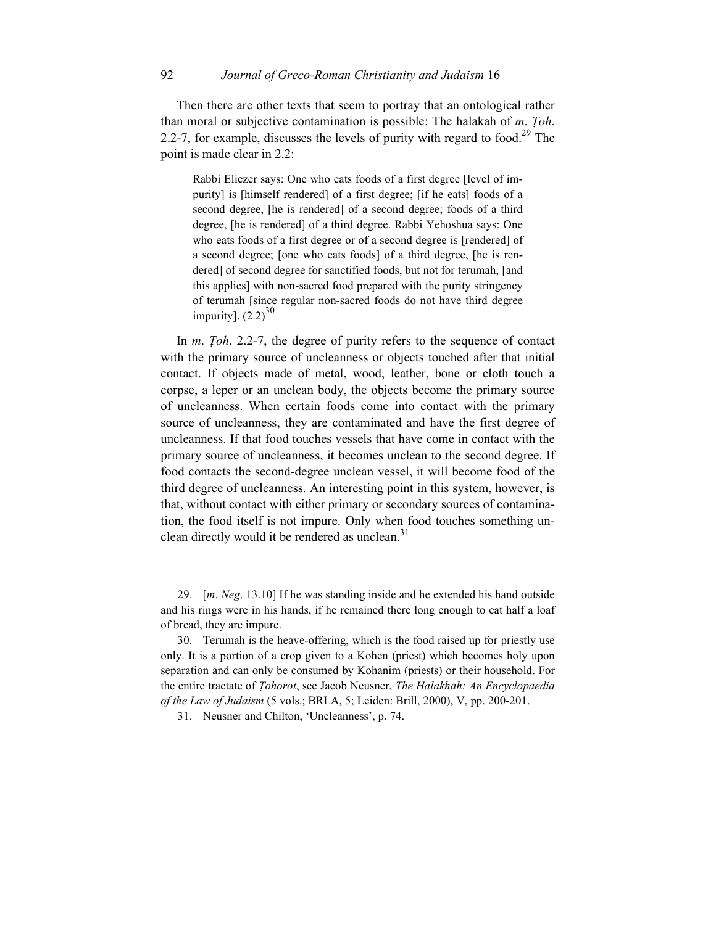Then there are other texts that seem to portray that an ontological rather than moral or subjective contamination is possible: The halakah of *m*. *Ṭoh*. 2.2-7, for example, discusses the levels of purity with regard to food.<sup>29</sup> The point is made clear in 2.2:

Rabbi Eliezer says: One who eats foods of a first degree [level of impurity] is [himself rendered] of a first degree; [if he eats] foods of a second degree, [he is rendered] of a second degree; foods of a third degree, [he is rendered] of a third degree. Rabbi Yehoshua says: One who eats foods of a first degree or of a second degree is [rendered] of a second degree; [one who eats foods] of a third degree, [he is rendered] of second degree for sanctified foods, but not for terumah, [and this applies] with non-sacred food prepared with the purity stringency of terumah [since regular non-sacred foods do not have third degree impurity].  $(2.2)^{30}$ 

In *m*. *Ṭoh*. 2.2-7, the degree of purity refers to the sequence of contact with the primary source of uncleanness or objects touched after that initial contact. If objects made of metal, wood, leather, bone or cloth touch a corpse, a leper or an unclean body, the objects become the primary source of uncleanness. When certain foods come into contact with the primary source of uncleanness, they are contaminated and have the first degree of uncleanness. If that food touches vessels that have come in contact with the primary source of uncleanness, it becomes unclean to the second degree. If food contacts the second-degree unclean vessel, it will become food of the third degree of uncleanness. An interesting point in this system, however, is that, without contact with either primary or secondary sources of contamination, the food itself is not impure. Only when food touches something unclean directly would it be rendered as unclean. $31$ 

29. [*m*. *Neg*. 13.10] If he was standing inside and he extended his hand outside and his rings were in his hands, if he remained there long enough to eat half a loaf of bread, they are impure.

30. Terumah is the heave-offering, which is the food raised up for priestly use only. It is a portion of a crop given to a Kohen (priest) which becomes holy upon separation and can only be consumed by Kohanim (priests) or their household. For the entire tractate of *Ṭohorot*, see Jacob Neusner, *The Halakhah: An Encyclopaedia of the Law of Judaism* (5 vols.; BRLA, 5; Leiden: Brill, 2000), V, pp. 200-201.

31. Neusner and Chilton, 'Uncleanness', p. 74.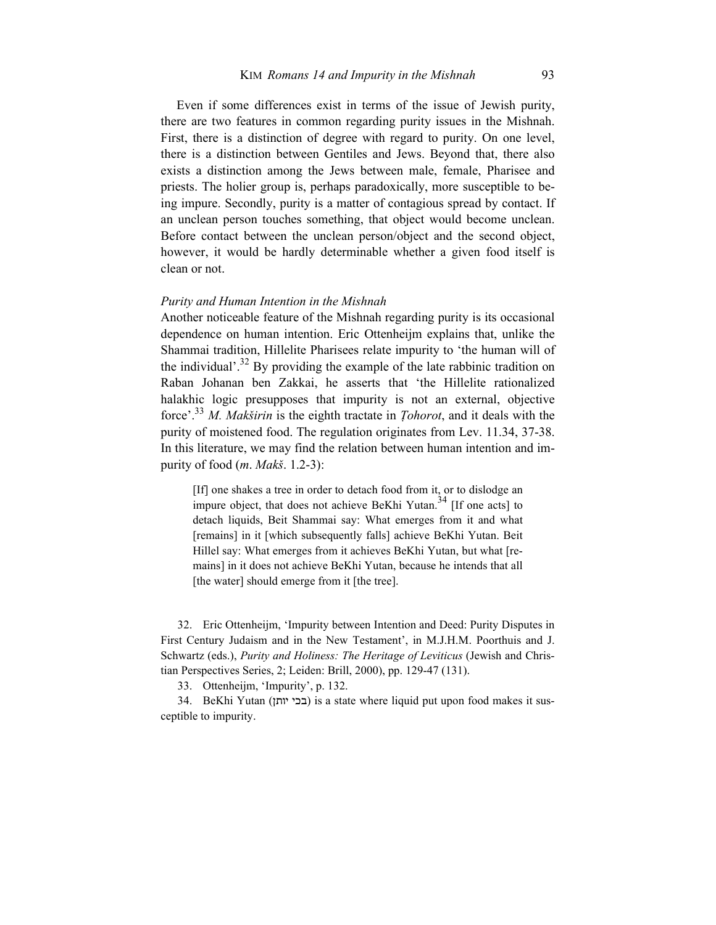Even if some differences exist in terms of the issue of Jewish purity, there are two features in common regarding purity issues in the Mishnah. First, there is a distinction of degree with regard to purity. On one level, there is a distinction between Gentiles and Jews. Beyond that, there also exists a distinction among the Jews between male, female, Pharisee and priests. The holier group is, perhaps paradoxically, more susceptible to being impure. Secondly, purity is a matter of contagious spread by contact. If an unclean person touches something, that object would become unclean. Before contact between the unclean person/object and the second object, however, it would be hardly determinable whether a given food itself is clean or not.

#### *Purity and Human Intention in the Mishnah*

Another noticeable feature of the Mishnah regarding purity is its occasional dependence on human intention. Eric Ottenheijm explains that, unlike the Shammai tradition, Hillelite Pharisees relate impurity to 'the human will of the individual'.<sup>32</sup> By providing the example of the late rabbinic tradition on Raban Johanan ben Zakkai, he asserts that 'the Hillelite rationalized halakhic logic presupposes that impurity is not an external, objective force'.<sup>33</sup> *M. Makširin* is the eighth tractate in *Ṭohorot*, and it deals with the purity of moistened food. The regulation originates from Lev. 11.34, 37-38. In this literature, we may find the relation between human intention and impurity of food (*m*. *Makš*. 1.2-3):

[If] one shakes a tree in order to detach food from it, or to dislodge an impure object, that does not achieve BeKhi Yutan.<sup>34</sup> [If one acts] to detach liquids, Beit Shammai say: What emerges from it and what [remains] in it [which subsequently falls] achieve BeKhi Yutan. Beit Hillel say: What emerges from it achieves BeKhi Yutan, but what [remains] in it does not achieve BeKhi Yutan, because he intends that all [the water] should emerge from it [the tree].

32. Eric Ottenheijm, 'Impurity between Intention and Deed: Purity Disputes in First Century Judaism and in the New Testament', in M.J.H.M. Poorthuis and J. Schwartz (eds.), *Purity and Holiness: The Heritage of Leviticus* (Jewish and Christian Perspectives Series, 2; Leiden: Brill, 2000), pp. 129-47 (131).

33. Ottenheijm, 'Impurity', p. 132.

34. BeKhi Yutan (בכי יותן) is a state where liquid put upon food makes it susceptible to impurity.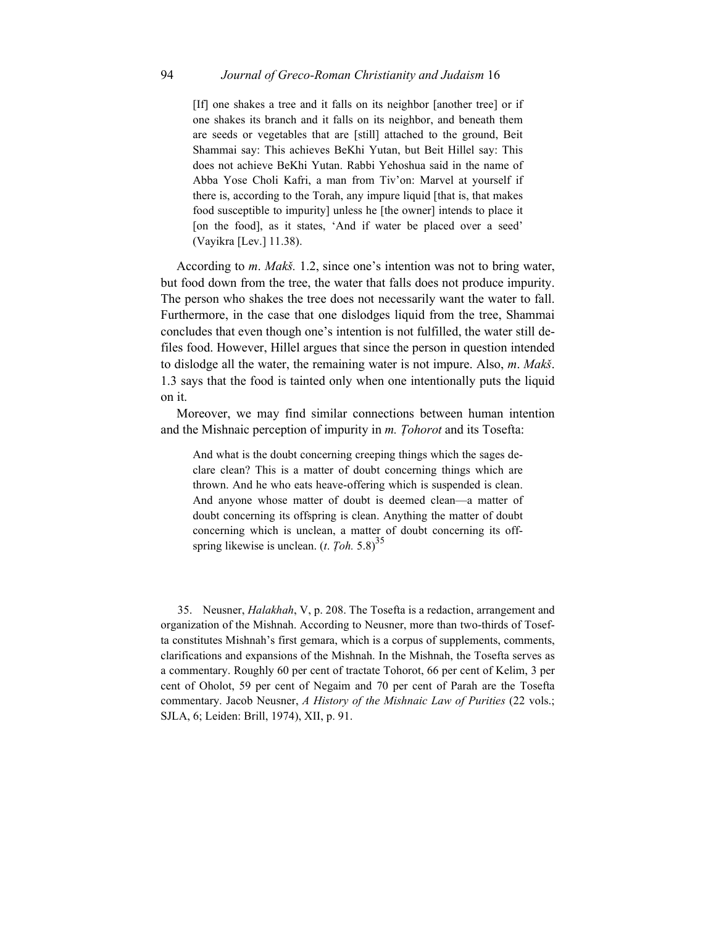[If] one shakes a tree and it falls on its neighbor [another tree] or if one shakes its branch and it falls on its neighbor, and beneath them are seeds or vegetables that are [still] attached to the ground, Beit Shammai say: This achieves BeKhi Yutan, but Beit Hillel say: This does not achieve BeKhi Yutan. Rabbi Yehoshua said in the name of Abba Yose Choli Kafri, a man from Tiv'on: Marvel at yourself if there is, according to the Torah, any impure liquid [that is, that makes food susceptible to impurity] unless he [the owner] intends to place it [on the food], as it states, 'And if water be placed over a seed' (Vayikra [Lev.] 11.38).

According to *m*. *Makš.* 1.2, since one's intention was not to bring water, but food down from the tree, the water that falls does not produce impurity. The person who shakes the tree does not necessarily want the water to fall. Furthermore, in the case that one dislodges liquid from the tree, Shammai concludes that even though one's intention is not fulfilled, the water still defiles food. However, Hillel argues that since the person in question intended to dislodge all the water, the remaining water is not impure. Also, *m*. *Makš*. 1.3 says that the food is tainted only when one intentionally puts the liquid on it.

Moreover, we may find similar connections between human intention and the Mishnaic perception of impurity in *m. Ṭohorot* and its Tosefta:

And what is the doubt concerning creeping things which the sages declare clean? This is a matter of doubt concerning things which are thrown. And he who eats heave-offering which is suspended is clean. And anyone whose matter of doubt is deemed clean—a matter of doubt concerning its offspring is clean. Anything the matter of doubt concerning which is unclean, a matter of doubt concerning its offspring likewise is unclean. (*t. Toh.* 5.8)<sup>35</sup>

35. Neusner, *Halakhah*, V, p. 208. The Tosefta is a redaction, arrangement and organization of the Mishnah. According to Neusner, more than two-thirds of Tosefta constitutes Mishnah's first gemara, which is a corpus of supplements, comments, clarifications and expansions of the Mishnah. In the Mishnah, the Tosefta serves as a commentary. Roughly 60 per cent of tractate Tohorot, 66 per cent of Kelim, 3 per cent of Oholot, 59 per cent of Negaim and 70 per cent of Parah are the Tosefta commentary. Jacob Neusner, *A History of the Mishnaic Law of Purities* (22 vols.; SJLA, 6; Leiden: Brill, 1974), XII, p. 91.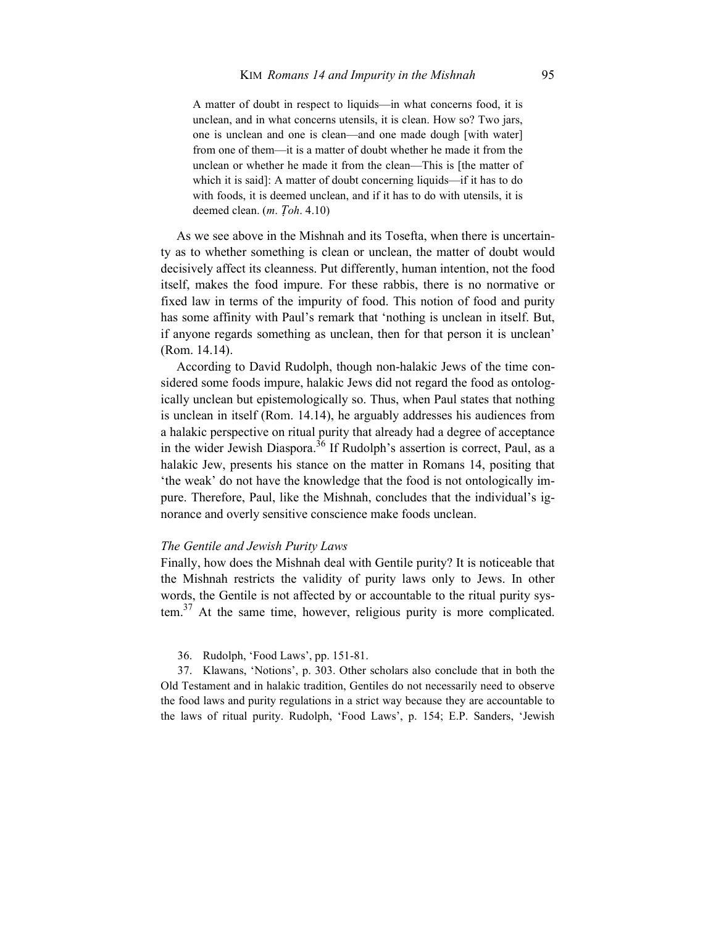A matter of doubt in respect to liquids—in what concerns food, it is unclean, and in what concerns utensils, it is clean. How so? Two jars, one is unclean and one is clean—and one made dough [with water] from one of them—it is a matter of doubt whether he made it from the unclean or whether he made it from the clean—This is [the matter of which it is said]: A matter of doubt concerning liquids—if it has to do with foods, it is deemed unclean, and if it has to do with utensils, it is deemed clean. (*m*. *Ṭoh*. 4.10)

As we see above in the Mishnah and its Tosefta, when there is uncertainty as to whether something is clean or unclean, the matter of doubt would decisively affect its cleanness. Put differently, human intention, not the food itself, makes the food impure. For these rabbis, there is no normative or fixed law in terms of the impurity of food. This notion of food and purity has some affinity with Paul's remark that 'nothing is unclean in itself. But, if anyone regards something as unclean, then for that person it is unclean' (Rom. 14.14).

According to David Rudolph, though non-halakic Jews of the time considered some foods impure, halakic Jews did not regard the food as ontologically unclean but epistemologically so. Thus, when Paul states that nothing is unclean in itself (Rom. 14.14), he arguably addresses his audiences from a halakic perspective on ritual purity that already had a degree of acceptance in the wider Jewish Diaspora.<sup>36</sup> If Rudolph's assertion is correct, Paul, as a halakic Jew, presents his stance on the matter in Romans 14, positing that 'the weak' do not have the knowledge that the food is not ontologically impure. Therefore, Paul, like the Mishnah, concludes that the individual's ignorance and overly sensitive conscience make foods unclean.

#### *The Gentile and Jewish Purity Laws*

Finally, how does the Mishnah deal with Gentile purity? It is noticeable that the Mishnah restricts the validity of purity laws only to Jews. In other words, the Gentile is not affected by or accountable to the ritual purity system.<sup>37</sup> At the same time, however, religious purity is more complicated.

36. Rudolph, 'Food Laws', pp. 151-81.

37. Klawans, 'Notions', p. 303. Other scholars also conclude that in both the Old Testament and in halakic tradition, Gentiles do not necessarily need to observe the food laws and purity regulations in a strict way because they are accountable to the laws of ritual purity. Rudolph, 'Food Laws', p. 154; E.P. Sanders, 'Jewish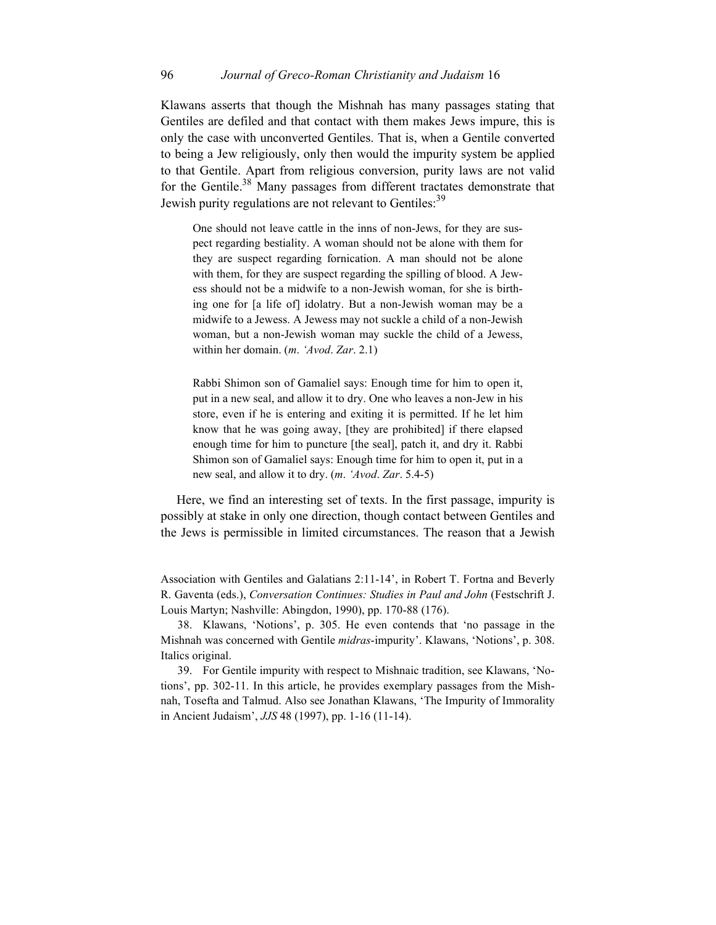## 96 *Journal of Greco-Roman Christianity and Judaism* 16

Klawans asserts that though the Mishnah has many passages stating that Gentiles are defiled and that contact with them makes Jews impure, this is only the case with unconverted Gentiles. That is, when a Gentile converted to being a Jew religiously, only then would the impurity system be applied to that Gentile. Apart from religious conversion, purity laws are not valid for the Gentile.<sup>38</sup> Many passages from different tractates demonstrate that Jewish purity regulations are not relevant to Gentiles:<sup>39</sup>

One should not leave cattle in the inns of non-Jews, for they are suspect regarding bestiality. A woman should not be alone with them for they are suspect regarding fornication. A man should not be alone with them, for they are suspect regarding the spilling of blood. A Jewess should not be a midwife to a non-Jewish woman, for she is birthing one for [a life of] idolatry. But a non-Jewish woman may be a midwife to a Jewess. A Jewess may not suckle a child of a non-Jewish woman, but a non-Jewish woman may suckle the child of a Jewess, within her domain. (*m*. *'Avod*. *Zar*. 2.1)

Rabbi Shimon son of Gamaliel says: Enough time for him to open it, put in a new seal, and allow it to dry. One who leaves a non-Jew in his store, even if he is entering and exiting it is permitted. If he let him know that he was going away, [they are prohibited] if there elapsed enough time for him to puncture [the seal], patch it, and dry it. Rabbi Shimon son of Gamaliel says: Enough time for him to open it, put in a new seal, and allow it to dry. (*m*. *'Avod*. *Zar*. 5.4-5)

Here, we find an interesting set of texts. In the first passage, impurity is possibly at stake in only one direction, though contact between Gentiles and the Jews is permissible in limited circumstances. The reason that a Jewish

Association with Gentiles and Galatians 2:11-14', in Robert T. Fortna and Beverly R. Gaventa (eds.), *Conversation Continues: Studies in Paul and John* (Festschrift J. Louis Martyn; Nashville: Abingdon, 1990), pp. 170-88 (176).

38. Klawans, 'Notions', p. 305. He even contends that 'no passage in the Mishnah was concerned with Gentile *midras*-impurity'. Klawans, 'Notions', p. 308. Italics original.

39. For Gentile impurity with respect to Mishnaic tradition, see Klawans, 'Notions', pp. 302-11. In this article, he provides exemplary passages from the Mishnah, Tosefta and Talmud. Also see Jonathan Klawans, 'The Impurity of Immorality in Ancient Judaism', *JJS* 48 (1997), pp. 1-16 (11-14).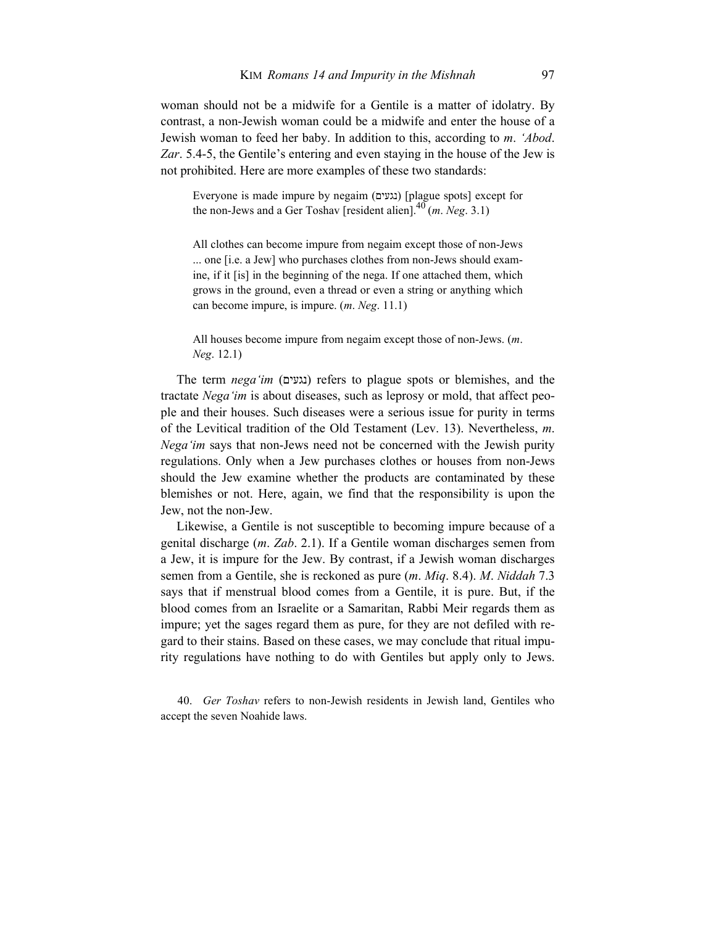woman should not be a midwife for a Gentile is a matter of idolatry. By contrast, a non-Jewish woman could be a midwife and enter the house of a Jewish woman to feed her baby. In addition to this, according to *m*. *'Abod*. *Zar*. 5.4-5, the Gentile's entering and even staying in the house of the Jew is not prohibited. Here are more examples of these two standards:

Everyone is made impure by negaim (נגעים] (plague spots] except for the non-Jews and a Ger Toshav [resident alien].40 (*m*. *Neg*. 3.1)

All clothes can become impure from negaim except those of non-Jews ... one [i.e. a Jew] who purchases clothes from non-Jews should examine, if it [is] in the beginning of the nega. If one attached them, which grows in the ground, even a thread or even a string or anything which can become impure, is impure. (*m*. *Neg*. 11.1)

All houses become impure from negaim except those of non-Jews. (*m*. *Neg*. 12.1)

The term *nega'im* ( נגעים (refers to plague spots or blemishes, and the tractate *Nega'im* is about diseases, such as leprosy or mold, that affect people and their houses. Such diseases were a serious issue for purity in terms of the Levitical tradition of the Old Testament (Lev. 13). Nevertheless, *m*. *Nega'im* says that non-Jews need not be concerned with the Jewish purity regulations. Only when a Jew purchases clothes or houses from non-Jews should the Jew examine whether the products are contaminated by these blemishes or not. Here, again, we find that the responsibility is upon the Jew, not the non-Jew.

Likewise, a Gentile is not susceptible to becoming impure because of a genital discharge (*m*. *Zab*. 2.1). If a Gentile woman discharges semen from a Jew, it is impure for the Jew. By contrast, if a Jewish woman discharges semen from a Gentile, she is reckoned as pure (*m*. *Miq*. 8.4). *M*. *Niddah* 7.3 says that if menstrual blood comes from a Gentile, it is pure. But, if the blood comes from an Israelite or a Samaritan, Rabbi Meir regards them as impure; yet the sages regard them as pure, for they are not defiled with regard to their stains. Based on these cases, we may conclude that ritual impurity regulations have nothing to do with Gentiles but apply only to Jews.

40. *Ger Toshav* refers to non-Jewish residents in Jewish land, Gentiles who accept the seven Noahide laws.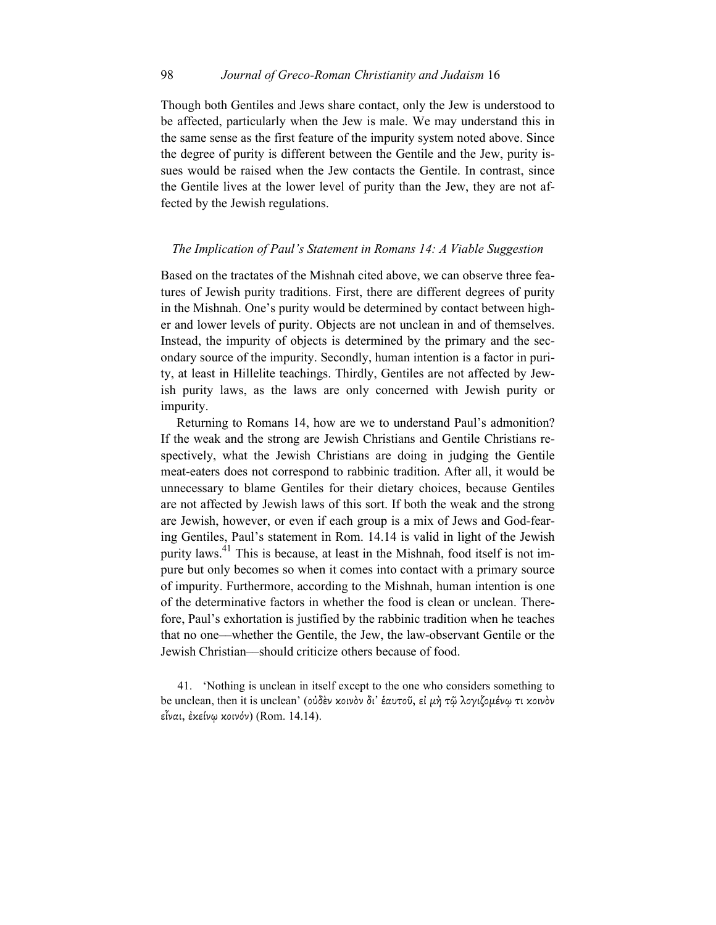Though both Gentiles and Jews share contact, only the Jew is understood to be affected, particularly when the Jew is male. We may understand this in the same sense as the first feature of the impurity system noted above. Since the degree of purity is different between the Gentile and the Jew, purity issues would be raised when the Jew contacts the Gentile. In contrast, since the Gentile lives at the lower level of purity than the Jew, they are not affected by the Jewish regulations.

### *The Implication of Paul's Statement in Romans 14: A Viable Suggestion*

Based on the tractates of the Mishnah cited above, we can observe three features of Jewish purity traditions. First, there are different degrees of purity in the Mishnah. One's purity would be determined by contact between higher and lower levels of purity. Objects are not unclean in and of themselves. Instead, the impurity of objects is determined by the primary and the secondary source of the impurity. Secondly, human intention is a factor in purity, at least in Hillelite teachings. Thirdly, Gentiles are not affected by Jewish purity laws, as the laws are only concerned with Jewish purity or impurity.

Returning to Romans 14, how are we to understand Paul's admonition? If the weak and the strong are Jewish Christians and Gentile Christians respectively, what the Jewish Christians are doing in judging the Gentile meat-eaters does not correspond to rabbinic tradition. After all, it would be unnecessary to blame Gentiles for their dietary choices, because Gentiles are not affected by Jewish laws of this sort. If both the weak and the strong are Jewish, however, or even if each group is a mix of Jews and God-fearing Gentiles, Paul's statement in Rom. 14.14 is valid in light of the Jewish purity laws.41 This is because, at least in the Mishnah, food itself is not impure but only becomes so when it comes into contact with a primary source of impurity. Furthermore, according to the Mishnah, human intention is one of the determinative factors in whether the food is clean or unclean. Therefore, Paul's exhortation is justified by the rabbinic tradition when he teaches that no one––whether the Gentile, the Jew, the law-observant Gentile or the Jewish Christian––should criticize others because of food.

41. 'Nothing is unclean in itself except to the one who considers something to be unclean, then it is unclean' (οὐδὲν κοινὸν δι' ἑαυτοῦ, εἰ μὴ τῷ λογιζομένῳ τι κοινὸν εἶναι, ἐκείνῳ κοινόν) (Rom. 14.14).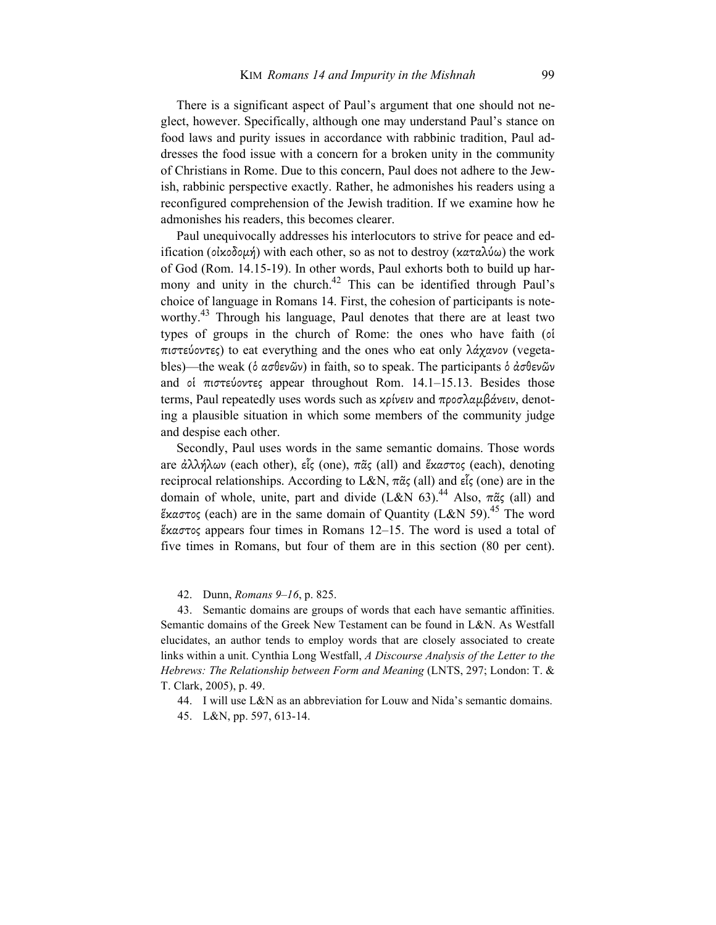There is a significant aspect of Paul's argument that one should not neglect, however. Specifically, although one may understand Paul's stance on food laws and purity issues in accordance with rabbinic tradition, Paul addresses the food issue with a concern for a broken unity in the community of Christians in Rome. Due to this concern, Paul does not adhere to the Jewish, rabbinic perspective exactly. Rather, he admonishes his readers using a reconfigured comprehension of the Jewish tradition. If we examine how he admonishes his readers, this becomes clearer.

Paul unequivocally addresses his interlocutors to strive for peace and edification (οἰκοδομή) with each other, so as not to destroy (καταλύω) the work of God (Rom. 14.15-19). In other words, Paul exhorts both to build up harmony and unity in the church.<sup>42</sup> This can be identified through Paul's choice of language in Romans 14. First, the cohesion of participants is noteworthy.<sup>43</sup> Through his language, Paul denotes that there are at least two types of groups in the church of Rome: the ones who have faith (οἱ πιστεύοντες) to eat everything and the ones who eat only λάχανον (vegetables)—the weak (ὁ ασθενῶν) in faith, so to speak. The participants ὁ ἀσθενῶν and οἱ πιστεύοντες appear throughout Rom. 14.1–15.13. Besides those terms, Paul repeatedly uses words such as κρίνειν and προσλαµβάνειν, denoting a plausible situation in which some members of the community judge and despise each other.

Secondly, Paul uses words in the same semantic domains. Those words are ἀλλήλων (each other), εἷς (one), πᾶς (all) and ἕκαστος (each), denoting reciprocal relationships. According to L&N, πᾶς (all) and εἷς (one) are in the domain of whole, unite, part and divide (L&N 63).<sup>44</sup> Also,  $\pi \tilde{\alpha}$  (all) and έκαστος (each) are in the same domain of Quantity (L&N 59).<sup>45</sup> The word ἕκαστος appears four times in Romans 12–15. The word is used a total of five times in Romans, but four of them are in this section (80 per cent).

42. Dunn, *Romans 9–16*, p. 825.

43. Semantic domains are groups of words that each have semantic affinities. Semantic domains of the Greek New Testament can be found in L&N. As Westfall elucidates, an author tends to employ words that are closely associated to create links within a unit. Cynthia Long Westfall, *A Discourse Analysis of the Letter to the Hebrews: The Relationship between Form and Meaning* (LNTS, 297; London: T. & T. Clark, 2005), p. 49.

44. I will use L&N as an abbreviation for Louw and Nida's semantic domains.

45. L&N, pp. 597, 613-14.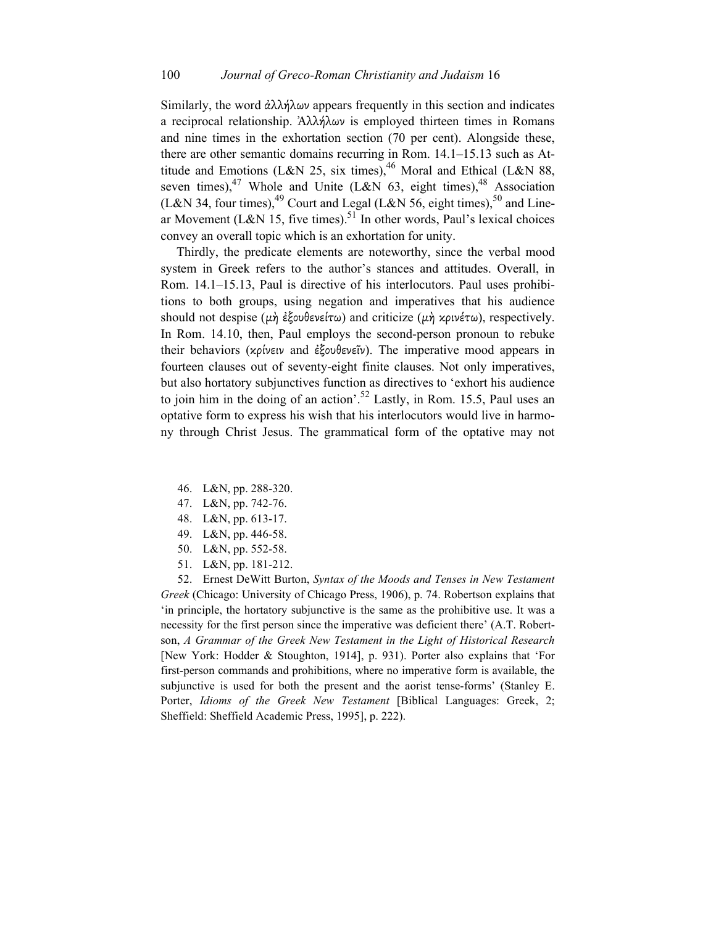Similarly, the word  $\frac{\partial \lambda}{\partial \omega}$  appears frequently in this section and indicates a reciprocal relationship. Ἀλλήλων is employed thirteen times in Romans and nine times in the exhortation section (70 per cent). Alongside these, there are other semantic domains recurring in Rom. 14.1–15.13 such as Attitude and Emotions (L&N 25, six times),  $^{46}$  Moral and Ethical (L&N 88, seven times),<sup>47</sup> Whole and Unite (L&N 63, eight times),<sup>48</sup> Association (L&N 34, four times),<sup>49</sup> Court and Legal (L&N 56, eight times),<sup>50</sup> and Linear Movement (L&N 15, five times).<sup>51</sup> In other words, Paul's lexical choices convey an overall topic which is an exhortation for unity.

Thirdly, the predicate elements are noteworthy, since the verbal mood system in Greek refers to the author's stances and attitudes. Overall, in Rom. 14.1–15.13, Paul is directive of his interlocutors. Paul uses prohibitions to both groups, using negation and imperatives that his audience should not despise (μὴ ἐξουθενείτω) and criticize (μὴ κρινέτω), respectively. In Rom. 14.10, then, Paul employs the second-person pronoun to rebuke their behaviors (κρίνειν and ἐξουθενεῖν). The imperative mood appears in fourteen clauses out of seventy-eight finite clauses. Not only imperatives, but also hortatory subjunctives function as directives to 'exhort his audience to join him in the doing of an action'.<sup>52</sup> Lastly, in Rom. 15.5, Paul uses an optative form to express his wish that his interlocutors would live in harmony through Christ Jesus. The grammatical form of the optative may not

- 46. L&N, pp. 288-320.
- 47. L&N, pp. 742-76.
- 48. L&N, pp. 613-17.
- 49. L&N, pp. 446-58.
- 50. L&N, pp. 552-58.
- 51. L&N, pp. 181-212.

52. Ernest DeWitt Burton, *Syntax of the Moods and Tenses in New Testament Greek* (Chicago: University of Chicago Press, 1906), p. 74. Robertson explains that 'in principle, the hortatory subjunctive is the same as the prohibitive use. It was a necessity for the first person since the imperative was deficient there' (A.T. Robertson, *A Grammar of the Greek New Testament in the Light of Historical Research* [New York: Hodder & Stoughton, 1914], p. 931). Porter also explains that 'For first-person commands and prohibitions, where no imperative form is available, the subjunctive is used for both the present and the aorist tense-forms' (Stanley E. Porter, *Idioms of the Greek New Testament* [Biblical Languages: Greek, 2; Sheffield: Sheffield Academic Press, 1995], p. 222).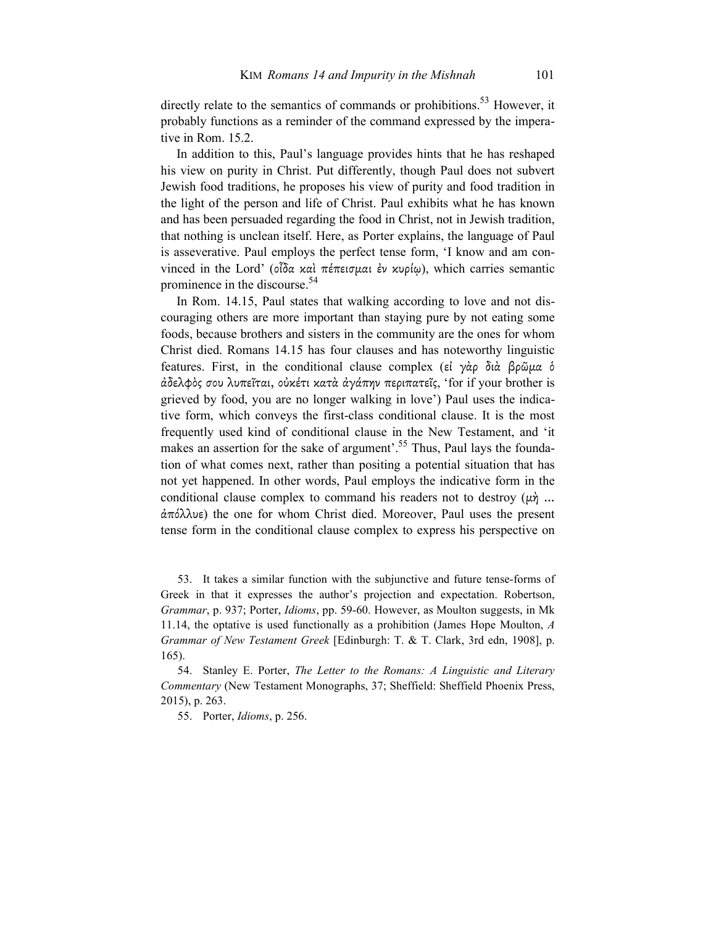directly relate to the semantics of commands or prohibitions.<sup>53</sup> However, it probably functions as a reminder of the command expressed by the imperative in Rom. 15.2.

In addition to this, Paul's language provides hints that he has reshaped his view on purity in Christ. Put differently, though Paul does not subvert Jewish food traditions, he proposes his view of purity and food tradition in the light of the person and life of Christ. Paul exhibits what he has known and has been persuaded regarding the food in Christ, not in Jewish tradition, that nothing is unclean itself. Here, as Porter explains, the language of Paul is asseverative. Paul employs the perfect tense form, 'I know and am convinced in the Lord' (οἶδα καὶ πέπεισµαι ἐν κυρίῳ), which carries semantic prominence in the discourse.<sup>54</sup>

In Rom. 14.15, Paul states that walking according to love and not discouraging others are more important than staying pure by not eating some foods, because brothers and sisters in the community are the ones for whom Christ died. Romans 14.15 has four clauses and has noteworthy linguistic features. First, in the conditional clause complex (εἰ γὰρ διὰ βρῶµα ὁ ἀδελφὸς σου λυπεῖται, οὐκέτι κατὰ ἀγάπην περιπατεῖς, 'for if your brother is grieved by food, you are no longer walking in love') Paul uses the indicative form, which conveys the first-class conditional clause. It is the most frequently used kind of conditional clause in the New Testament, and 'it makes an assertion for the sake of argument'.<sup>55</sup> Thus, Paul lays the foundation of what comes next, rather than positing a potential situation that has not yet happened. In other words, Paul employs the indicative form in the conditional clause complex to command his readers not to destroy  $(\mu \dot{\gamma})$ ... ἀπόλλυε) the one for whom Christ died. Moreover, Paul uses the present tense form in the conditional clause complex to express his perspective on

53. It takes a similar function with the subjunctive and future tense-forms of Greek in that it expresses the author's projection and expectation. Robertson, *Grammar*, p. 937; Porter, *Idioms*, pp. 59-60. However, as Moulton suggests, in Mk 11.14, the optative is used functionally as a prohibition (James Hope Moulton, *A Grammar of New Testament Greek* [Edinburgh: T. & T. Clark, 3rd edn, 1908], p. 165).

54. Stanley E. Porter, *The Letter to the Romans: A Linguistic and Literary Commentary* (New Testament Monographs, 37; Sheffield: Sheffield Phoenix Press, 2015), p. 263.

55. Porter, *Idioms*, p. 256.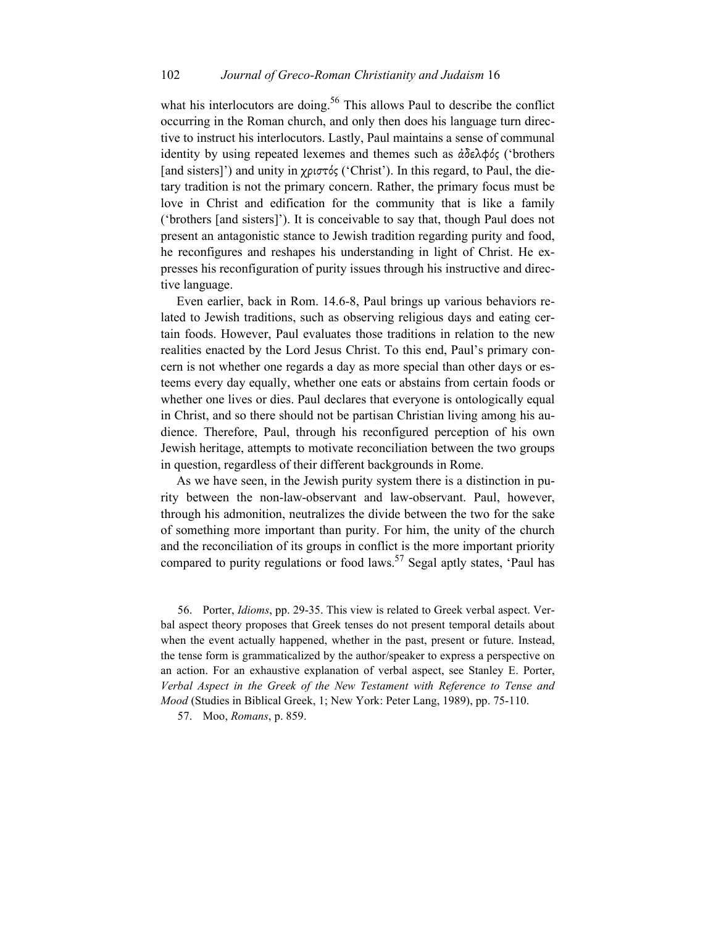what his interlocutors are doing.<sup>56</sup> This allows Paul to describe the conflict occurring in the Roman church, and only then does his language turn directive to instruct his interlocutors. Lastly, Paul maintains a sense of communal identity by using repeated lexemes and themes such as ἀδελφός ('brothers [and sisters]') and unity in χριστός ('Christ'). In this regard, to Paul, the dietary tradition is not the primary concern. Rather, the primary focus must be love in Christ and edification for the community that is like a family ('brothers [and sisters]'). It is conceivable to say that, though Paul does not present an antagonistic stance to Jewish tradition regarding purity and food, he reconfigures and reshapes his understanding in light of Christ. He expresses his reconfiguration of purity issues through his instructive and directive language.

Even earlier, back in Rom. 14.6-8, Paul brings up various behaviors related to Jewish traditions, such as observing religious days and eating certain foods. However, Paul evaluates those traditions in relation to the new realities enacted by the Lord Jesus Christ. To this end, Paul's primary concern is not whether one regards a day as more special than other days or esteems every day equally, whether one eats or abstains from certain foods or whether one lives or dies. Paul declares that everyone is ontologically equal in Christ, and so there should not be partisan Christian living among his audience. Therefore, Paul, through his reconfigured perception of his own Jewish heritage, attempts to motivate reconciliation between the two groups in question, regardless of their different backgrounds in Rome.

As we have seen, in the Jewish purity system there is a distinction in purity between the non-law-observant and law-observant. Paul, however, through his admonition, neutralizes the divide between the two for the sake of something more important than purity. For him, the unity of the church and the reconciliation of its groups in conflict is the more important priority compared to purity regulations or food laws.<sup>57</sup> Segal aptly states, 'Paul has

56. Porter, *Idioms*, pp. 29-35. This view is related to Greek verbal aspect. Verbal aspect theory proposes that Greek tenses do not present temporal details about when the event actually happened, whether in the past, present or future. Instead, the tense form is grammaticalized by the author/speaker to express a perspective on an action. For an exhaustive explanation of verbal aspect, see Stanley E. Porter, *Verbal Aspect in the Greek of the New Testament with Reference to Tense and Mood* (Studies in Biblical Greek, 1; New York: Peter Lang, 1989), pp. 75-110.

57. Moo, *Romans*, p. 859.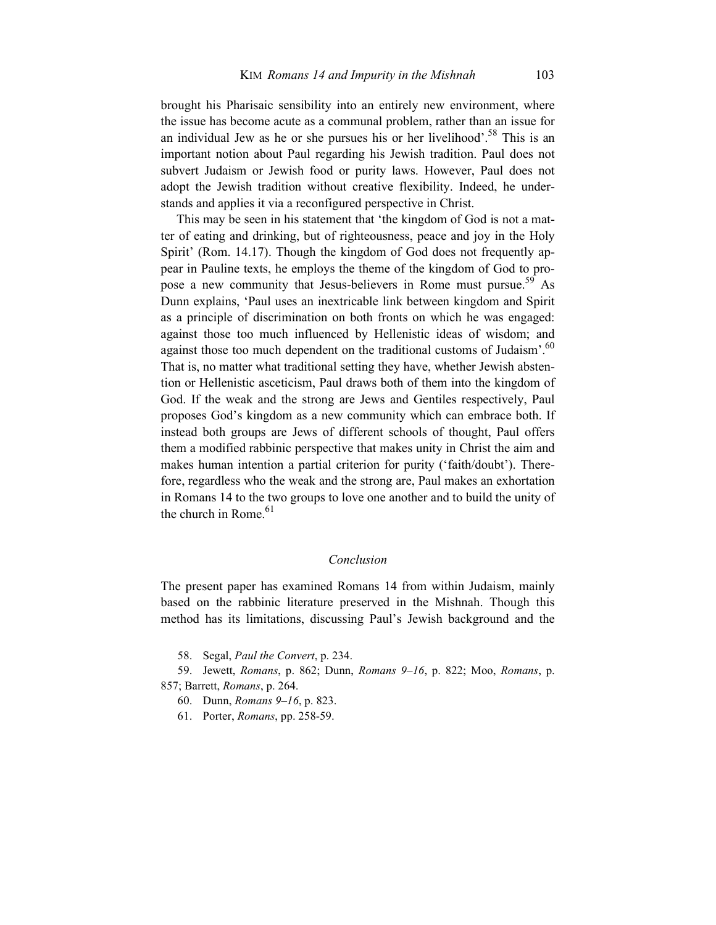brought his Pharisaic sensibility into an entirely new environment, where the issue has become acute as a communal problem, rather than an issue for an individual Jew as he or she pursues his or her livelihood'.<sup>58</sup> This is an important notion about Paul regarding his Jewish tradition. Paul does not subvert Judaism or Jewish food or purity laws. However, Paul does not adopt the Jewish tradition without creative flexibility. Indeed, he understands and applies it via a reconfigured perspective in Christ.

This may be seen in his statement that 'the kingdom of God is not a matter of eating and drinking, but of righteousness, peace and joy in the Holy Spirit' (Rom. 14.17). Though the kingdom of God does not frequently appear in Pauline texts, he employs the theme of the kingdom of God to propose a new community that Jesus-believers in Rome must pursue.<sup>59</sup> As Dunn explains, 'Paul uses an inextricable link between kingdom and Spirit as a principle of discrimination on both fronts on which he was engaged: against those too much influenced by Hellenistic ideas of wisdom; and against those too much dependent on the traditional customs of Judaism'.<sup>60</sup> That is, no matter what traditional setting they have, whether Jewish abstention or Hellenistic asceticism, Paul draws both of them into the kingdom of God. If the weak and the strong are Jews and Gentiles respectively, Paul proposes God's kingdom as a new community which can embrace both. If instead both groups are Jews of different schools of thought, Paul offers them a modified rabbinic perspective that makes unity in Christ the aim and makes human intention a partial criterion for purity ('faith/doubt'). Therefore, regardless who the weak and the strong are, Paul makes an exhortation in Romans 14 to the two groups to love one another and to build the unity of the church in Rome. $61$ 

## *Conclusion*

The present paper has examined Romans 14 from within Judaism, mainly based on the rabbinic literature preserved in the Mishnah. Though this method has its limitations, discussing Paul's Jewish background and the

58. Segal, *Paul the Convert*, p. 234.

59. Jewett, *Romans*, p. 862; Dunn, *Romans 9–16*, p. 822; Moo, *Romans*, p. 857; Barrett, *Romans*, p. 264.

- 60. Dunn, *Romans 9–16*, p. 823.
- 61. Porter, *Romans*, pp. 258-59.